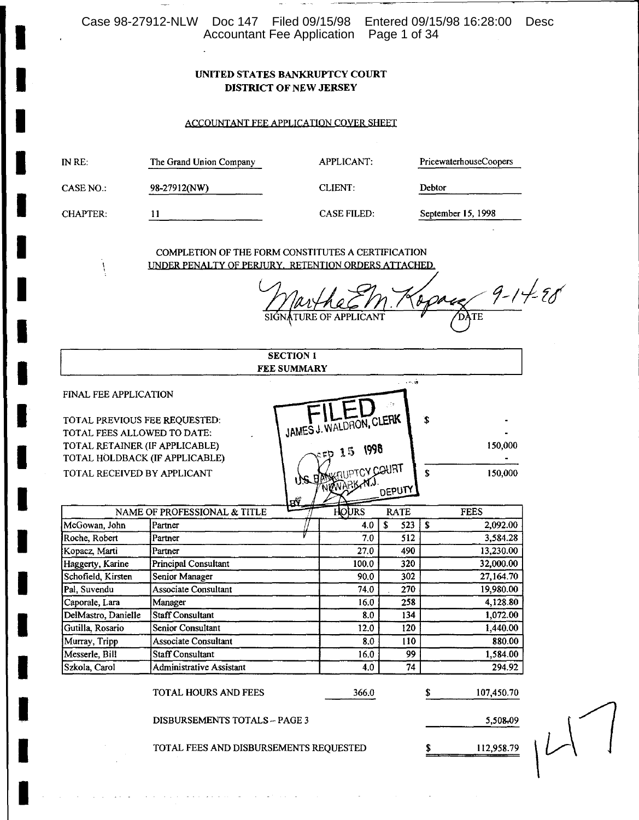Case 98-27912-NLW Doc 147 Filed 09/15/98 Entered 09/15/98 16:28:00 Desc<br>Accountant Fee Application Page 1 of 34

### UNITED STATES BANKRUPTCY COURT **DISTRICT OF NEW JERSEY**

### ACCOUNTANT FEE APPLICATION COVER SHEET

| INRE:           | The Grand Union Company | APPLICANT:         | PricewaterhouseCoopers |
|-----------------|-------------------------|--------------------|------------------------|
| CASE NO.:       | 98-27912(NW)            | CLIENT:            | Debtor                 |
| <b>CHAPTER:</b> | 11                      | <b>CASE FILED:</b> | September 15, 1998     |

COMPLETION OF THE FORM CONSTITUTES A CERTIFICATION UNDER PENALTY OF PERJURY. RETENTION ORDERS ATTACHED.

1

 $\frac{48}{(04)^{TE}}$ 9-14-28  $\ell$ SIGNATURE OF APPI

|                                                              |                              | <b>SECTION 1</b>   |                                      |                        |              |             |
|--------------------------------------------------------------|------------------------------|--------------------|--------------------------------------|------------------------|--------------|-------------|
|                                                              |                              | <b>FEE SUMMARY</b> |                                      |                        |              |             |
| FINAL FEE APPLICATION                                        |                              |                    |                                      | $\sim$ $\sim$ $\sigma$ |              |             |
| TOTAL PREVIOUS FEE REQUESTED:<br>TOTAL FEES ALLOWED TO DATE: |                              |                    | JAMES J. WALDRON, CLERK              |                        | \$           |             |
| TOTAL RETAINER (IF APPLICABLE)                               |                              |                    | 1998<br>15                           |                        |              | 150,000     |
| TOTAL HOLDBACK (IF APPLICABLE)                               |                              |                    |                                      |                        |              |             |
| TOTAL RECEIVED BY APPLICANT                                  |                              | дŷ                 | US DOWNPTCY COURT<br><b>NEWARKAN</b> | DEPUTY                 | $\mathbf{s}$ | 150,000     |
|                                                              | NAME OF PROFESSIONAL & TITLE |                    | <b>HOURS</b>                         | <b>RATE</b>            |              | <b>FEES</b> |
| McGowan, John                                                | Partner                      |                    | 4.0                                  | S<br>523               | S            | 2,092.00    |
| Roche, Robert                                                | Partner                      |                    | 7.0                                  | 512                    |              | 3,584.28    |
| Kopacz, Marti                                                | Partner                      |                    | 27.0                                 | 490                    |              | 13,230.00   |
| Haggerty, Karine                                             | <b>Principal Consultant</b>  |                    | 100.0                                | 320                    |              | 32,000.00   |
| Schofield, Kirsten                                           | <b>Senior Manager</b>        |                    | 90.0                                 | 302                    |              | 27,164.70   |
| Pal, Suvendu                                                 | <b>Associate Consultant</b>  |                    | 74.0                                 | 270                    |              | 19,980.00   |
| Caporale, Lara                                               | Manager                      |                    | 16.0                                 | 258                    |              | 4,128.80    |
| DelMastro, Danielle                                          | <b>Staff Consultant</b>      |                    | 8.0                                  | 134                    |              | 1,072.00    |
| Gutilla, Rosario                                             | Senior Consultant            |                    | 12.0                                 | 120                    |              | 1,440.00    |
| Murray, Tripp                                                | <b>Associate Consultant</b>  |                    | 8.0                                  | 110                    |              | 880.00      |
| Messerle, Bill                                               | <b>Staff Consultant</b>      |                    | 16.0                                 | 99                     |              | 1,584.00    |
| Szkola, Carol                                                | Administrative Assistant     |                    | 4.0                                  | 74                     |              | 294.92      |
|                                                              | <b>TOTAL HOURS AND FEES</b>  |                    | 366.0                                |                        | S            | 107,450.70  |
| <b>DISBURSEMENTS TOTALS - PAGE 3</b>                         |                              |                    |                                      |                        |              | 5,508.09    |
| TOTAL FEES AND DISBURSEMENTS REQUESTED<br>S<br>112,958.79    |                              |                    |                                      |                        |              |             |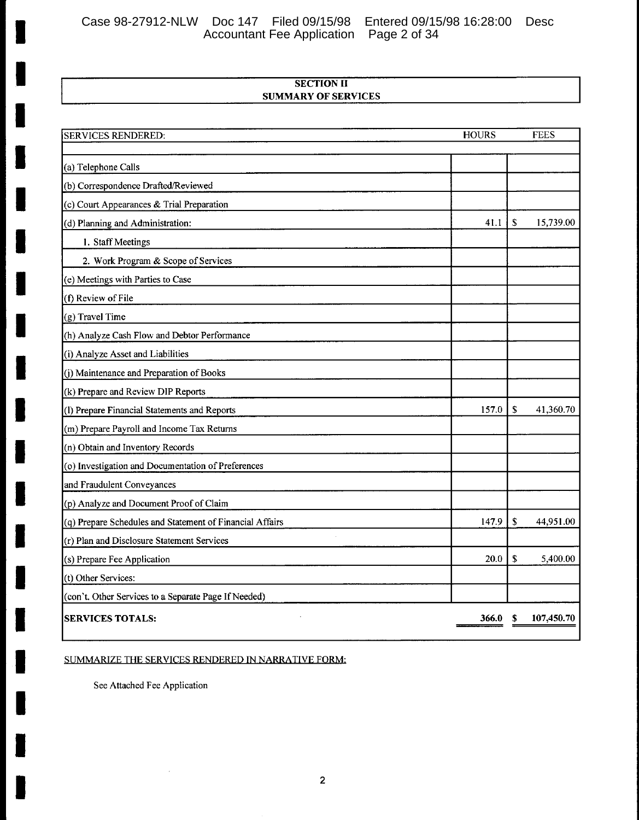Case 98-27912-NLW Doc 147 Filed 09/15/98 Entered 09/15/98 16:28:00 Desc<br>Accountant Fee Application Page 2 of 34

## **SECTION II SUMMARY OF SERVICES**

| <b>SERVICES RENDERED:</b>                                | <b>HOURS</b> |    | <b>FEES</b> |
|----------------------------------------------------------|--------------|----|-------------|
|                                                          |              |    |             |
| (a) Telephone Calls                                      |              |    |             |
| (b) Correspondence Drafted/Reviewed                      |              |    |             |
| (c) Court Appearances & Trial Preparation                |              |    |             |
| (d) Planning and Administration:                         | 41.1         | S  | 15,739.00   |
| 1. Staff Meetings                                        |              |    |             |
| 2. Work Program & Scope of Services                      |              |    |             |
| (e) Meetings with Parties to Case                        |              |    |             |
| (f) Review of File                                       |              |    |             |
| (g) Travel Time                                          |              |    |             |
| (h) Analyze Cash Flow and Debtor Performance             |              |    |             |
| (i) Analyze Asset and Liabilities                        |              |    |             |
| (j) Maintenance and Preparation of Books                 |              |    |             |
| (k) Prepare and Review DIP Reports                       |              |    |             |
| (I) Prepare Financial Statements and Reports             | 157.0        | \$ | 41,360.70   |
| (m) Prepare Payroll and Income Tax Returns               |              |    |             |
| (n) Obtain and Inventory Records                         |              |    |             |
| (o) Investigation and Documentation of Preferences       |              |    |             |
| and Fraudulent Conveyances                               |              |    |             |
| (p) Analyze and Document Proof of Claim                  |              |    |             |
| (q) Prepare Schedules and Statement of Financial Affairs | 147.9        | \$ | 44,951.00   |
| (r) Plan and Disclosure Statement Services               |              |    |             |
| (s) Prepare Fee Application                              | 20.0         | \$ | 5,400.00    |
| (t) Other Services:                                      |              |    |             |
| (con't. Other Services to a Separate Page If Needed)     |              |    |             |
| <b>SERVICES TOTALS:</b>                                  | 366.0        | S  | 107,450.70  |

# SUMMARIZE THE SERVICES RENDERED IN NARRATIVE FORM:

See Attached Fee Application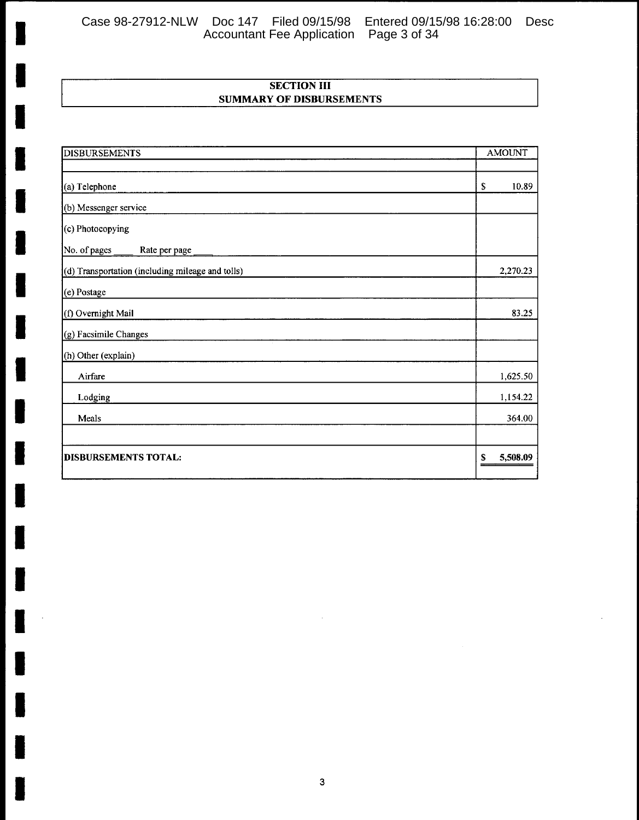Case 98-27912-NLW Doc 147 Filed 09/15/98 Entered 09/15/98 16:28:00 Desc Accountant Fee Application Page 3 of 34

# **SECTION III SUMMARY OF DISBURSEMENTS**

| <b>DISBURSEMENTS</b>                             | <b>AMOUNT</b>  |
|--------------------------------------------------|----------------|
|                                                  |                |
| (a) Telephone                                    | 10.89<br>\$    |
| (b) Messenger service                            |                |
| (c) Photocopying                                 |                |
| No. of pages<br>Rate per page                    |                |
| (d) Transportation (including mileage and tolls) | 2,270.23       |
| (e) Postage                                      |                |
| (f) Overnight Mail                               | 83.25          |
| (g) Facsimile Changes                            |                |
| (h) Other (explain)                              |                |
| Airfare                                          | 1,625.50       |
| Lodging                                          | 1,154.22       |
| Meals                                            | 364.00         |
|                                                  |                |
| <b>DISBURSEMENTS TOTAL:</b>                      | 5,508.09<br>\$ |

I

I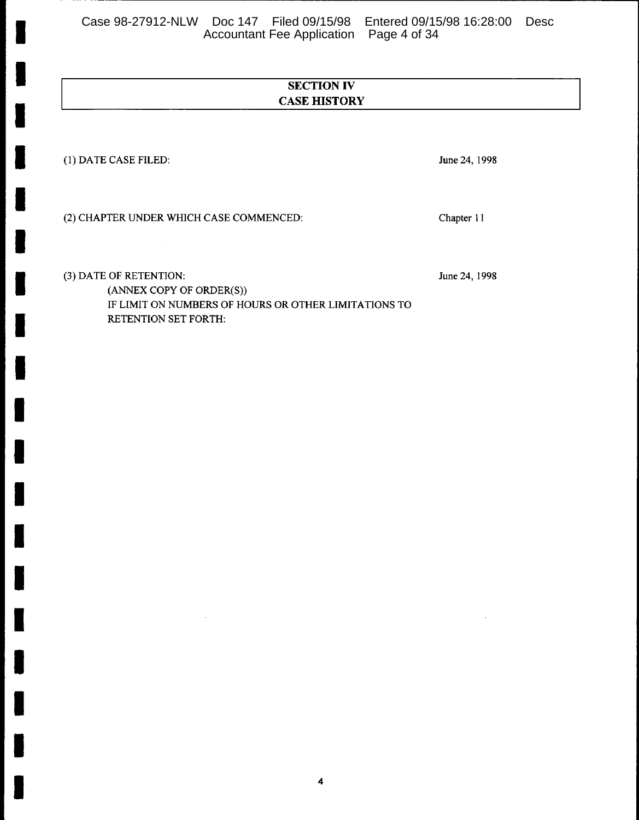Case 98-27912-NLW Doc 147 Filed 09/15/98 Entered 09/15/98 16:28:00 Desc<br>Accountant Fee Application Page 4 of 34

# **SECTION IV CASE HISTORY**

(1) DATE CASE FILED:

June 24, 1998

(2) CHAPTER UNDER WHICH CASE COMMENCED:

(3) DATE OF RETENTION:

June 24, 1998

Chapter 11

(ANNEX COPY OF ORDER(S)) IF LIMIT ON NUMBERS OF HOURS OR OTHER LIMITATIONS TO RETENTION SET FORTH: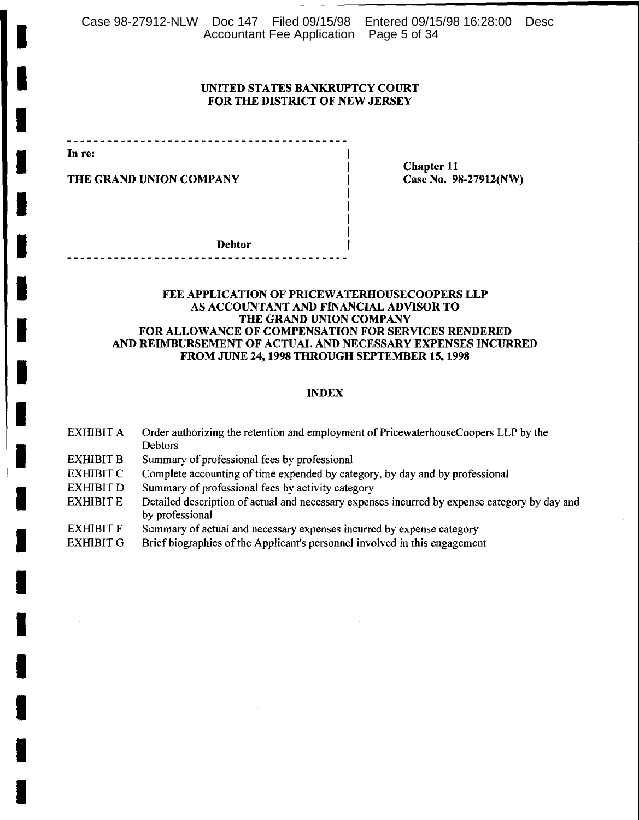Case 98-27912-NLW Doc 147 Filed 09/15/98 Entered 09/15/98 16:28:00 Desc Accountant Fee Application Page 5 of 34

### UNITED STATES BANKRUPTCY COURT FOR THE DISTRICT OF NEW JERSEY

In re:

THE GRAND UNION COMPANY

**Chapter 11** Case No. 98-27912(NW)

**Debtor** 

### FEE APPLICATION OF PRICEWATERHOUSECOOPERS LLP AS ACCOUNTANT AND FINANCIAL ADVISOR TO THE GRAND UNION COMPANY FOR ALLOWANCE OF COMPENSATION FOR SERVICES RENDERED AND REIMBURSEMENT OF ACTUAL AND NECESSARY EXPENSES INCURRED FROM JUNE 24, 1998 THROUGH SEPTEMBER 15, 1998

### **INDEX**

Order authorizing the retention and employment of PricewaterhouseCoopers LLP by the EXHIBIT A Debtors **EXHIBIT B** Summary of professional fees by professional Complete accounting of time expended by category, by day and by professional **EXHIBIT C EXHIBIT D** Summary of professional fees by activity category

**EXHIBIT E** Detailed description of actual and necessary expenses incurred by expense category by day and by professional

**EXHIBIT F** Summary of actual and necessary expenses incurred by expense category

**EXHIBIT G** Brief biographies of the Applicant's personnel involved in this engagement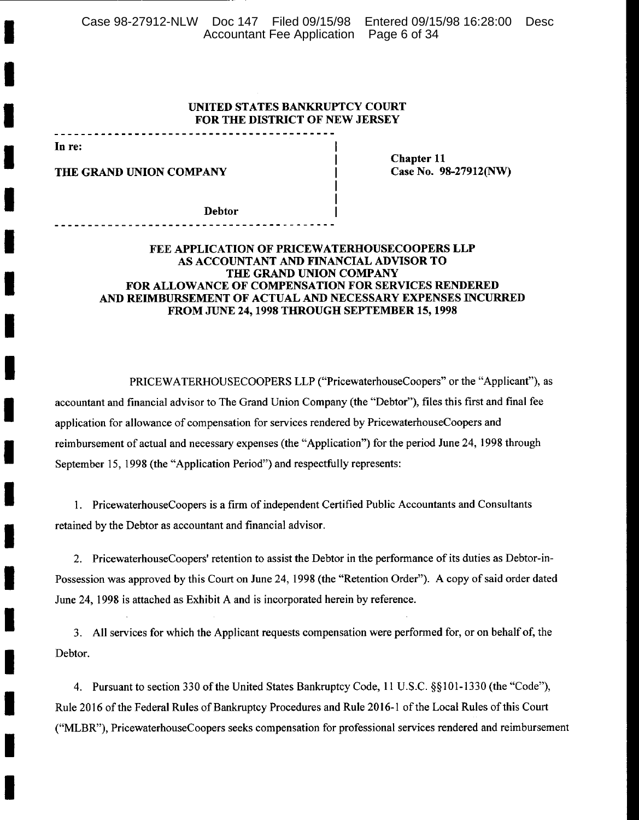Case 98-27912-NLW Doc 147 Filed 09/15/98 Entered 09/15/98 16:28:00 Desc Accountant Fee Application Page 6 of 34

### UNITED STATES BANKRUPTCY COURT FOR THE DISTRICT OF NEW JERSEY

In re:

THE GRAND UNION COMPANY

**Chapter 11** Case No. 98-27912(NW)

**Debtor** 

### FEE APPLICATION OF PRICEWATERHOUSECOOPERS LLP AS ACCOUNTANT AND FINANCIAL ADVISOR TO THE GRAND UNION COMPANY FOR ALLOWANCE OF COMPENSATION FOR SERVICES RENDERED AND REIMBURSEMENT OF ACTUAL AND NECESSARY EXPENSES INCURRED FROM JUNE 24, 1998 THROUGH SEPTEMBER 15, 1998

PRICEWATERHOUSECOOPERS LLP ("PricewaterhouseCoopers" or the "Applicant"), as accountant and financial advisor to The Grand Union Company (the "Debtor"), files this first and final fee application for allowance of compensation for services rendered by PricewaterhouseCoopers and reimbursement of actual and necessary expenses (the "Application") for the period June 24, 1998 through September 15, 1998 (the "Application Period") and respectfully represents:

1. PricewaterhouseCoopers is a firm of independent Certified Public Accountants and Consultants retained by the Debtor as accountant and financial advisor.

2. PricewaterhouseCoopers' retention to assist the Debtor in the performance of its duties as Debtor-in-Possession was approved by this Court on June 24, 1998 (the "Retention Order"). A copy of said order dated June 24, 1998 is attached as Exhibit A and is incorporated herein by reference.

3. All services for which the Applicant requests compensation were performed for, or on behalf of, the Debtor.

4. Pursuant to section 330 of the United States Bankruptcy Code, 11 U.S.C. §§101-1330 (the "Code"), Rule 2016 of the Federal Rules of Bankruptcy Procedures and Rule 2016-1 of the Local Rules of this Court ("MLBR"), PricewaterhouseCoopers seeks compensation for professional services rendered and reimbursement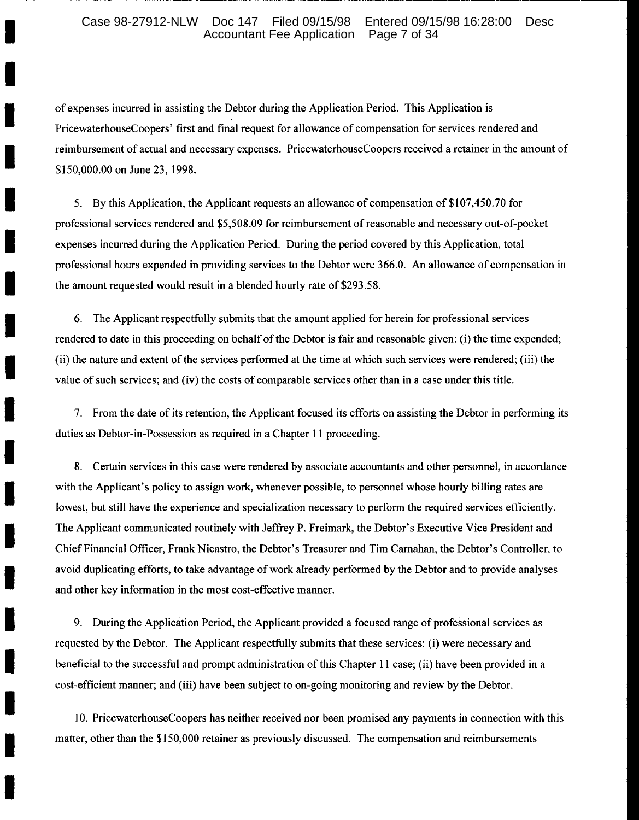#### Case 98-27912-NLW Doc 147 Filed 09/15/98 Entered 09/15/98 16:28:00 Desc Accountant Fee Application Page 7 of 34

of expenses incurred in assisting the Debtor during the Application Period. This Application is PricewaterhouseCoopers' first and final request for allowance of compensation for services rendered and reimbursement of actual and necessary expenses. PricewaterhouseCoopers received a retainer in the amount of \$150,000.00 on June 23, 1998.

5. By this Application, the Applicant requests an allowance of compensation of \$107,450.70 for professional services rendered and \$5,508.09 for reimbursement of reasonable and necessary out-of-pocket expenses incurred during the Application Period. During the period covered by this Application, total professional hours expended in providing services to the Debtor were 366.0. An allowance of compensation in the amount requested would result in a blended hourly rate of \$293.58.

6. The Applicant respectfully submits that the amount applied for herein for professional services rendered to date in this proceeding on behalf of the Debtor is fair and reasonable given: (i) the time expended; (ii) the nature and extent of the services performed at the time at which such services were rendered; (iii) the value of such services; and (iv) the costs of comparable services other than in a case under this title.

7. From the date of its retention, the Applicant focused its efforts on assisting the Debtor in performing its duties as Debtor-in-Possession as required in a Chapter 11 proceeding.

8. Certain services in this case were rendered by associate accountants and other personnel, in accordance with the Applicant's policy to assign work, whenever possible, to personnel whose hourly billing rates are lowest, but still have the experience and specialization necessary to perform the required services efficiently. The Applicant communicated routinely with Jeffrey P. Freimark, the Debtor's Executive Vice President and Chief Financial Officer, Frank Nicastro, the Debtor's Treasurer and Tim Carnahan, the Debtor's Controller, to avoid duplicating efforts, to take advantage of work already performed by the Debtor and to provide analyses and other key information in the most cost-effective manner.

9. During the Application Period, the Applicant provided a focused range of professional services as requested by the Debtor. The Applicant respectfully submits that these services: (i) were necessary and beneficial to the successful and prompt administration of this Chapter 11 case; (ii) have been provided in a cost-efficient manner; and (iii) have been subject to on-going monitoring and review by the Debtor.

10. PricewaterhouseCoopers has neither received nor been promised any payments in connection with this matter, other than the \$150,000 retainer as previously discussed. The compensation and reimbursements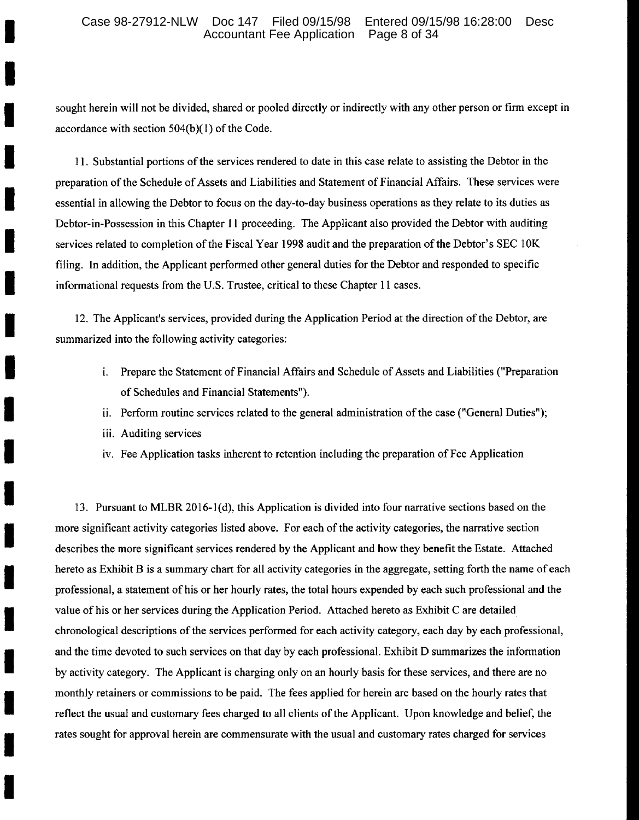#### Case 98-27912-NLW Doc 147 Filed 09/15/98 Entered 09/15/98 16:28:00 Desc Accountant Fee Application Page 8 of 34

sought herein will not be divided, shared or pooled directly or indirectly with any other person or firm except in accordance with section  $504(b)(1)$  of the Code.

11. Substantial portions of the services rendered to date in this case relate to assisting the Debtor in the preparation of the Schedule of Assets and Liabilities and Statement of Financial Affairs. These services were essential in allowing the Debtor to focus on the day-to-day business operations as they relate to its duties as Debtor-in-Possession in this Chapter 11 proceeding. The Applicant also provided the Debtor with auditing services related to completion of the Fiscal Year 1998 audit and the preparation of the Debtor's SEC 10K filing. In addition, the Applicant performed other general duties for the Debtor and responded to specific informational requests from the U.S. Trustee, critical to these Chapter 11 cases.

12. The Applicant's services, provided during the Application Period at the direction of the Debtor, are summarized into the following activity categories:

- i. Prepare the Statement of Financial Affairs and Schedule of Assets and Liabilities ("Preparation") of Schedules and Financial Statements").
- ii. Perform routine services related to the general administration of the case ("General Duties");
- iii. Auditing services
- iv. Fee Application tasks inherent to retention including the preparation of Fee Application

13. Pursuant to MLBR 2016-1(d), this Application is divided into four narrative sections based on the more significant activity categories listed above. For each of the activity categories, the narrative section describes the more significant services rendered by the Applicant and how they benefit the Estate. Attached hereto as Exhibit B is a summary chart for all activity categories in the aggregate, setting forth the name of each professional, a statement of his or her hourly rates, the total hours expended by each such professional and the value of his or her services during the Application Period. Attached hereto as Exhibit C are detailed chronological descriptions of the services performed for each activity category, each day by each professional, and the time devoted to such services on that day by each professional. Exhibit D summarizes the information by activity category. The Applicant is charging only on an hourly basis for these services, and there are no monthly retainers or commissions to be paid. The fees applied for herein are based on the hourly rates that reflect the usual and customary fees charged to all clients of the Applicant. Upon knowledge and belief, the rates sought for approval herein are commensurate with the usual and customary rates charged for services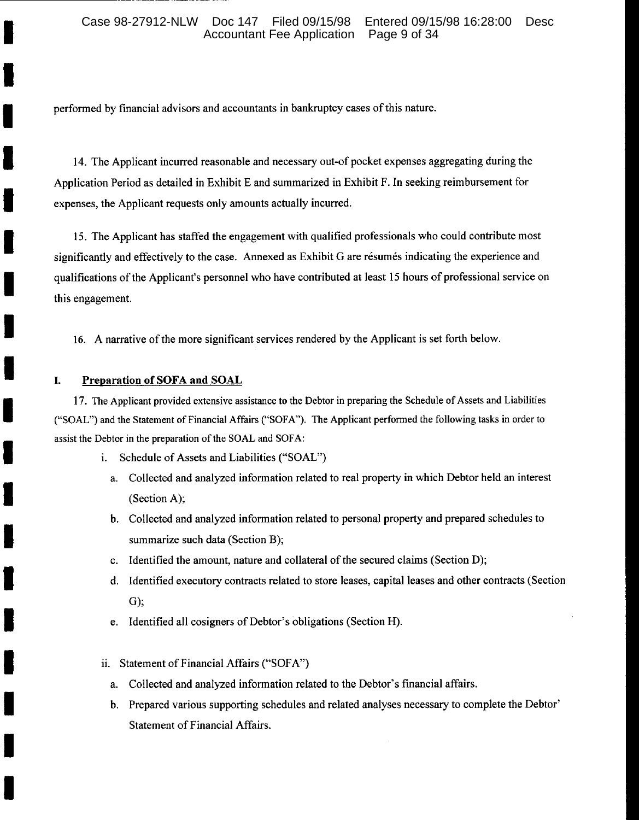performed by financial advisors and accountants in bankruptcy cases of this nature.

14. The Applicant incurred reasonable and necessary out-of pocket expenses aggregating during the Application Period as detailed in Exhibit E and summarized in Exhibit F. In seeking reimbursement for expenses, the Applicant requests only amounts actually incurred.

15. The Applicant has staffed the engagement with qualified professionals who could contribute most significantly and effectively to the case. Annexed as Exhibit G are résumés indicating the experience and qualifications of the Applicant's personnel who have contributed at least 15 hours of professional service on this engagement.

16. A narrative of the more significant services rendered by the Applicant is set forth below.

#### I. **Preparation of SOFA and SOAL**

17. The Applicant provided extensive assistance to the Debtor in preparing the Schedule of Assets and Liabilities ("SOAL") and the Statement of Financial Affairs ("SOFA"). The Applicant performed the following tasks in order to assist the Debtor in the preparation of the SOAL and SOFA:

- i. Schedule of Assets and Liabilities ("SOAL")
	- a. Collected and analyzed information related to real property in which Debtor held an interest (Section A);
	- b. Collected and analyzed information related to personal property and prepared schedules to summarize such data (Section B),
	- c. Identified the amount, nature and collateral of the secured claims (Section D);
	- d. Identified executory contracts related to store leases, capital leases and other contracts (Section  $G)$ ;
	- e. Identified all cosigners of Debtor's obligations (Section H).
- ii. Statement of Financial Affairs ("SOFA")
	- a. Collected and analyzed information related to the Debtor's financial affairs.
	- b. Prepared various supporting schedules and related analyses necessary to complete the Debtor' **Statement of Financial Affairs.**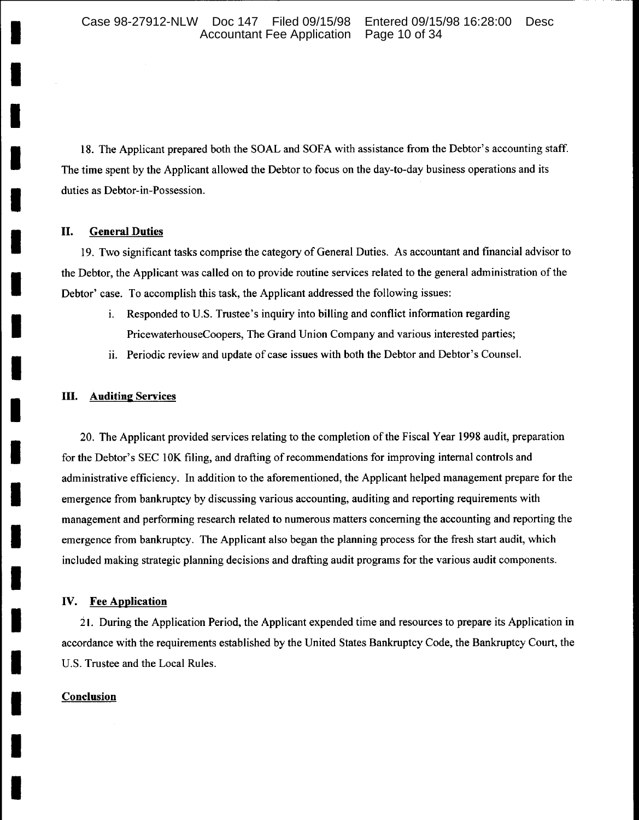18. The Applicant prepared both the SOAL and SOFA with assistance from the Debtor's accounting staff. The time spent by the Applicant allowed the Debtor to focus on the day-to-day business operations and its duties as Debtor-in-Possession.

#### **General Duties** П.

19. Two significant tasks comprise the category of General Duties. As accountant and financial advisor to the Debtor, the Applicant was called on to provide routine services related to the general administration of the Debtor' case. To accomplish this task, the Applicant addressed the following issues:

- Responded to U.S. Trustee's inquiry into billing and conflict information regarding i. PricewaterhouseCoopers, The Grand Union Company and various interested parties;
- ii. Periodic review and update of case issues with both the Debtor and Debtor's Counsel.

#### Ш. **Auditing Services**

20. The Applicant provided services relating to the completion of the Fiscal Year 1998 audit, preparation for the Debtor's SEC 10K filing, and drafting of recommendations for improving internal controls and administrative efficiency. In addition to the aforementioned, the Applicant helped management prepare for the emergence from bankruptcy by discussing various accounting, auditing and reporting requirements with management and performing research related to numerous matters concerning the accounting and reporting the emergence from bankruptcy. The Applicant also began the planning process for the fresh start audit, which included making strategic planning decisions and drafting audit programs for the various audit components.

#### IV. **Fee Application**

21. During the Application Period, the Applicant expended time and resources to prepare its Application in accordance with the requirements established by the United States Bankruptcy Code, the Bankruptcy Court, the U.S. Trustee and the Local Rules.

### Conclusion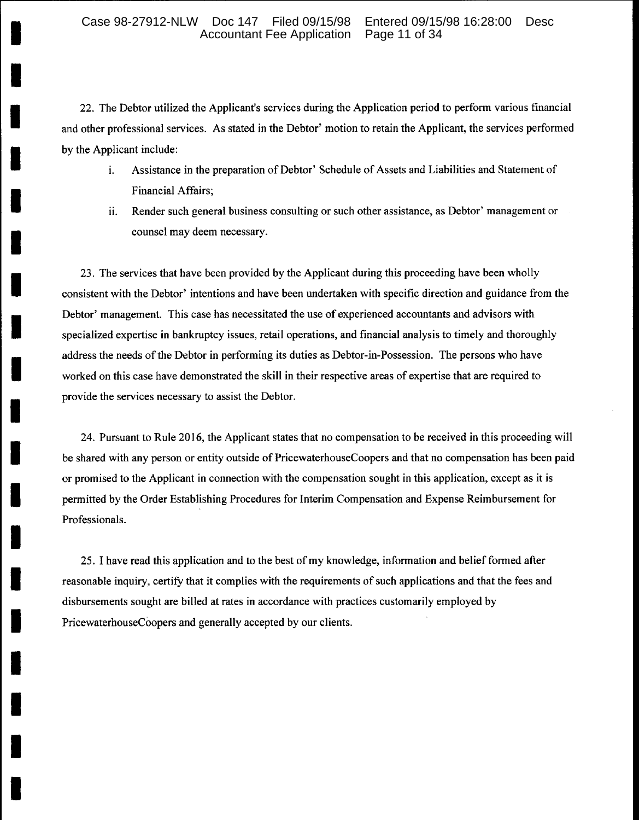22. The Debtor utilized the Applicant's services during the Application period to perform various financial and other professional services. As stated in the Debtor' motion to retain the Applicant, the services performed by the Applicant include:

- Assistance in the preparation of Debtor' Schedule of Assets and Liabilities and Statement of i. **Financial Affairs;**
- Render such general business consulting or such other assistance, as Debtor' management or ii. counsel may deem necessary.

23. The services that have been provided by the Applicant during this proceeding have been wholly consistent with the Debtor' intentions and have been undertaken with specific direction and guidance from the Debtor' management. This case has necessitated the use of experienced accountants and advisors with specialized expertise in bankruptcy issues, retail operations, and financial analysis to timely and thoroughly address the needs of the Debtor in performing its duties as Debtor-in-Possession. The persons who have worked on this case have demonstrated the skill in their respective areas of expertise that are required to provide the services necessary to assist the Debtor.

24. Pursuant to Rule 2016, the Applicant states that no compensation to be received in this proceeding will be shared with any person or entity outside of PricewaterhouseCoopers and that no compensation has been paid or promised to the Applicant in connection with the compensation sought in this application, except as it is permitted by the Order Establishing Procedures for Interim Compensation and Expense Reimbursement for Professionals.

25. I have read this application and to the best of my knowledge, information and belief formed after reasonable inquiry, certify that it complies with the requirements of such applications and that the fees and disbursements sought are billed at rates in accordance with practices customarily employed by PricewaterhouseCoopers and generally accepted by our clients.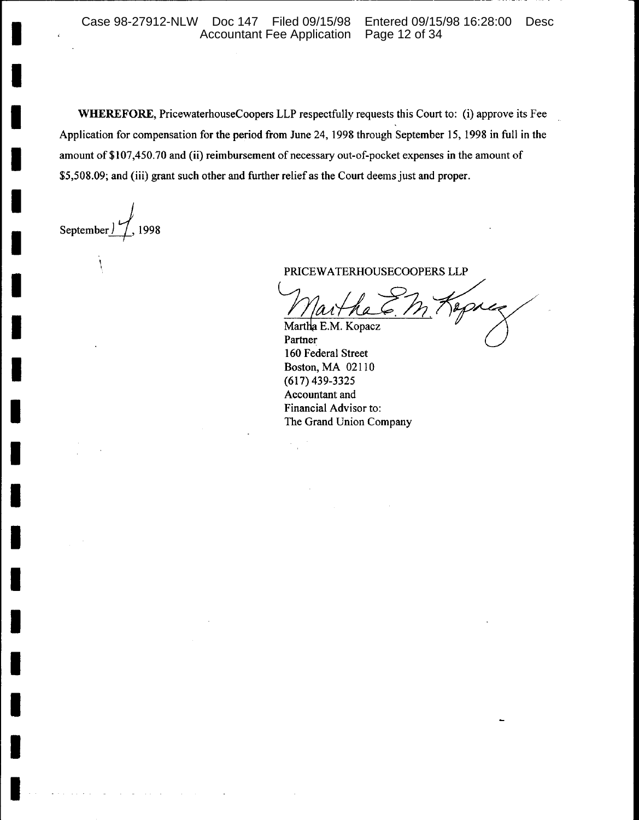WHEREFORE, PricewaterhouseCoopers LLP respectfully requests this Court to: (i) approve its Fee Application for compensation for the period from June 24, 1998 through September 15, 1998 in full in the amount of \$107,450.70 and (ii) reimbursement of necessary out-of-pocket expenses in the amount of \$5,508.09; and (iii) grant such other and further relief as the Court deems just and proper.

September 1998

PRICEWATERHOUSECOOPERS LLP

aprix Martha E.M. Kopacz

Partner 160 Federal Street Boston, MA 02110  $(617)$  439-3325 Accountant and Financial Advisor to: The Grand Union Company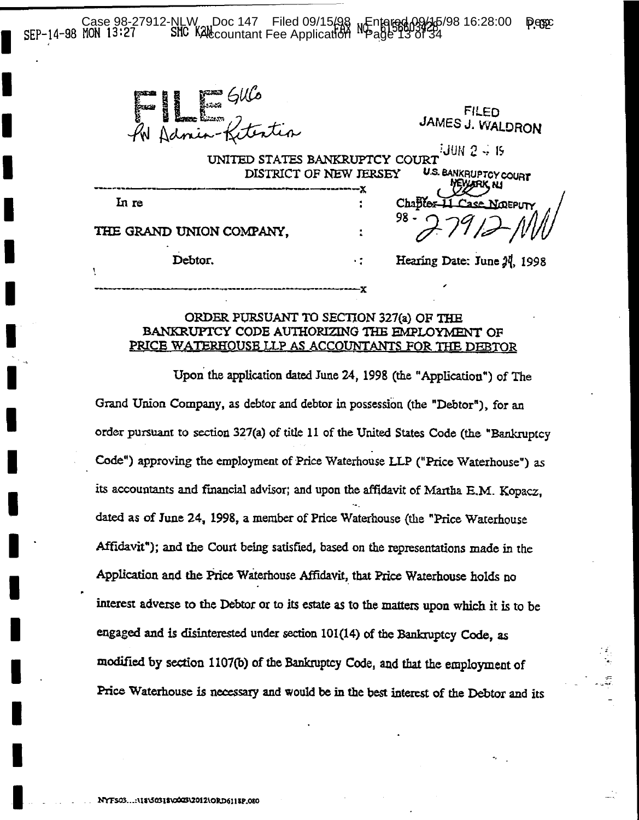NLW Doc 147 Filed 09/15/98 NEntered 09/16/98 16:28:00<br>SIC KAL countant Fee Application NPage 13 of 34 Case 98-27912-NLW **Desc** SEP-14-98 MON 13:27

Maria Gulo<br>Admin-Kitertia

FILED JAMES J. WALDRON

∂JUN 2 → 19 UNITED STATES BANKRUPTCY COURT U.S. BANKRUPTCY COURT DISTRICT OF NEW JERSEY **IYARK NJ** 

٠ž

In re

THE GRAND UNION COMPANY.

Debtor.

### Hearing Date: June 24, 1998

 $Chaffer-1$ 

98

# ORDER PURSUANT TO SECTION 327(a) OF THE BANKRUPTCY CODE AUTHORIZING THE EMPLOYMENT OF PRICE WATERHOUSE LLP AS ACCOUNTANTS FOR THE DEBTOR

Upon the application dated June 24, 1998 (the "Application") of The Grand Union Company, as debtor and debtor in possession (the "Debtor"), for an order pursuant to section 327(a) of title 11 of the United States Code (the "Bankruptcy Code") approving the employment of Price Waterhouse LLP ("Price Waterhouse") as its accountants and financial advisor; and upon the affidavit of Martha E.M. Kopacz, dated as of June 24, 1998, a member of Price Waterhouse (the "Price Waterhouse" Affidavit"); and the Court being satisfied, based on the representations made in the Application and the Price Waterhouse Affidavit, that Price Waterhouse holds no interest adverse to the Debtor or to its estate as to the matters upon which it is to be engaged and is disinterested under section 101(14) of the Bankruptcy Code, as modified by section 1107(b) of the Bankruptcy Code, and that the employment of Price Waterhouse is necessary and would be in the best interest of the Debtor and its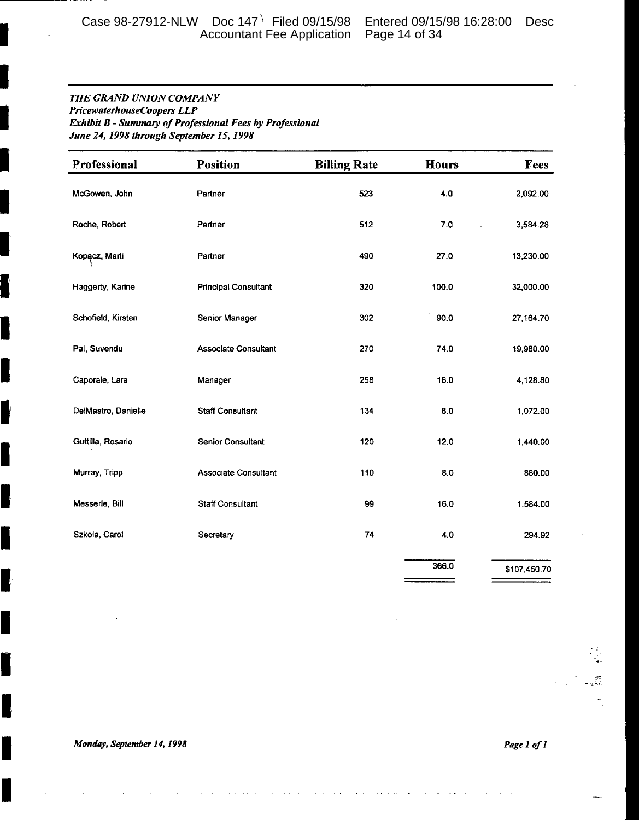Case 98-27912-NLW Doc 147 | Filed 09/15/98 Entered 09/15/98 16:28:00 Desc<br>Accountant Fee Application Page 14 of 34

### THE GRAND UNION COMPANY PricewaterhouseCoopers LLP Exhibit B - Summary of Professional Fees by Professional June 24, 1998 through September 15, 1998

| Professional        | <b>Position</b>             | <b>Billing Rate</b> | <b>Hours</b> | Fees         |
|---------------------|-----------------------------|---------------------|--------------|--------------|
| McGowen, John       | Partner                     | 523                 | 4.0          | 2,092.00     |
| Roche, Robert       | Partner                     | 512                 | 7.0          | 3,584.28     |
| Kopacz, Marti       | Partner                     | 490                 | 27.0         | 13,230.00    |
| Haggerty, Karine    | <b>Principal Consultant</b> | 320                 | 100.0        | 32,000.00    |
| Schofield, Kirsten  | Senior Manager              | 302                 | 90.0         | 27,164.70    |
| Pal, Suvendu        | <b>Associate Consultant</b> | 270                 | 74.0         | 19,980.00    |
| Caporale, Lara      | Manager                     | 258                 | 16.0         | 4,128.80     |
| DelMastro, Danielle | <b>Staff Consultant</b>     | 134                 | 8.0          | 1,072.00     |
| Guttilla, Rosario   | <b>Senior Consultant</b>    | 120                 | 12.0         | 1,440.00     |
| Murray, Tripp       | <b>Associate Consultant</b> | 110                 | 8.0          | 880.00       |
| Messerie, Bill      | <b>Staff Consultant</b>     | 99                  | 16.0         | 1,584.00     |
| Szkola, Carol       | Secretary                   | 74                  | 4.0          | 294.92       |
|                     |                             |                     | 366.0        | \$107,450.70 |

Monday, September 14, 1998

I

1

I

Ĩ

L

Page 1 of 1

en<br>Si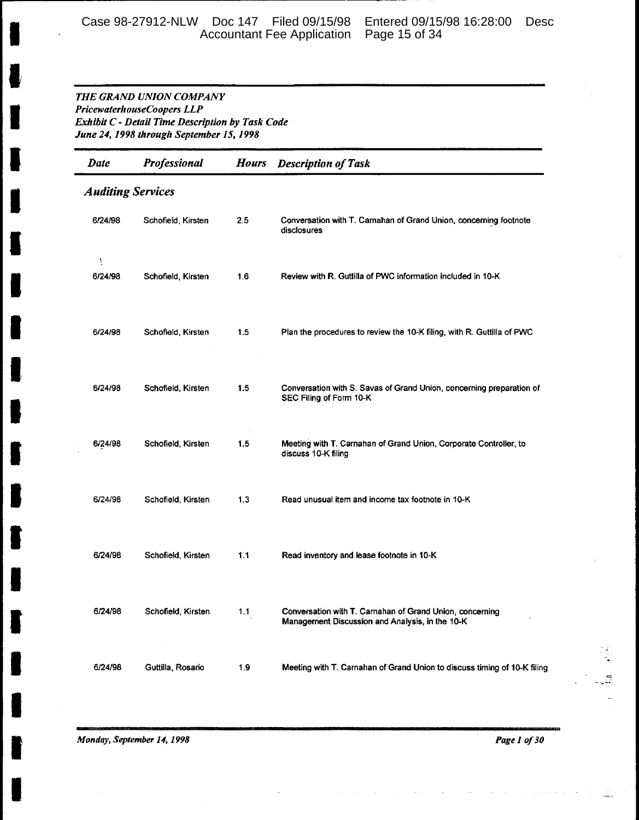# Case 98-27912-NLW Doc 147 Filed 09/15/98 Entered 09/15/98 16:28:00 Desc Accountant Fee Application Page 15 of 34

### THE GRAND UNION COMPANY PricewaterhouseCoopers LLP Exhibit C - Detail Time Description by Task Code June 24, 1998 through September 15, 1998

| Date         | Professional             | <b>Hours</b> | <b>Description of Task</b>                                                                                  |  |  |  |
|--------------|--------------------------|--------------|-------------------------------------------------------------------------------------------------------------|--|--|--|
|              | <b>Auditing Services</b> |              |                                                                                                             |  |  |  |
| 6/24/98      | Schofield, Kirsten       | 2.5          | Conversation with T. Carnahan of Grand Union, concerning footnote<br>disclosures                            |  |  |  |
| Y<br>6/24/98 | Schofield, Kirsten       | 1.6          | Review with R. Guttilla of PWC information included in 10-K                                                 |  |  |  |
| 6/24/98      | Schofield, Kirsten       | 1.5          | Plan the procedures to review the 10-K filing, with R. Guttilla of PWC                                      |  |  |  |
| 6/24/98      | Schofield, Kirsten       | 1.5          | Conversation with S. Savas of Grand Union, concerning preparation of<br>SEC Filing of Form 10-K             |  |  |  |
| 6/24/98      | Schofield, Kirsten       | 1.5          | Meeting with T. Carnahan of Grand Union, Corporate Controller, to<br>discuss 10-K filing                    |  |  |  |
| 6/24/98      | Schofield, Kirsten       | 1.3          | Read unusual item and income tax footnote in 10-K                                                           |  |  |  |
| 6/24/98      | Schofield, Kirsten       | 1.1          | Read inventory and lease footnote in 10-K                                                                   |  |  |  |
| 6/24/98      | Schofield, Kirsten       | 1.1          | Conversation with T. Carnahan of Grand Union, concerning<br>Management Discussion and Analysis, in the 10-K |  |  |  |
| 6/24/98      | Guttilla, Rosario        | 1.9          | Meeting with T. Carnahan of Grand Union to discuss timing of 10-K filing                                    |  |  |  |

Monday, September 14, 1998

Page 1 of 30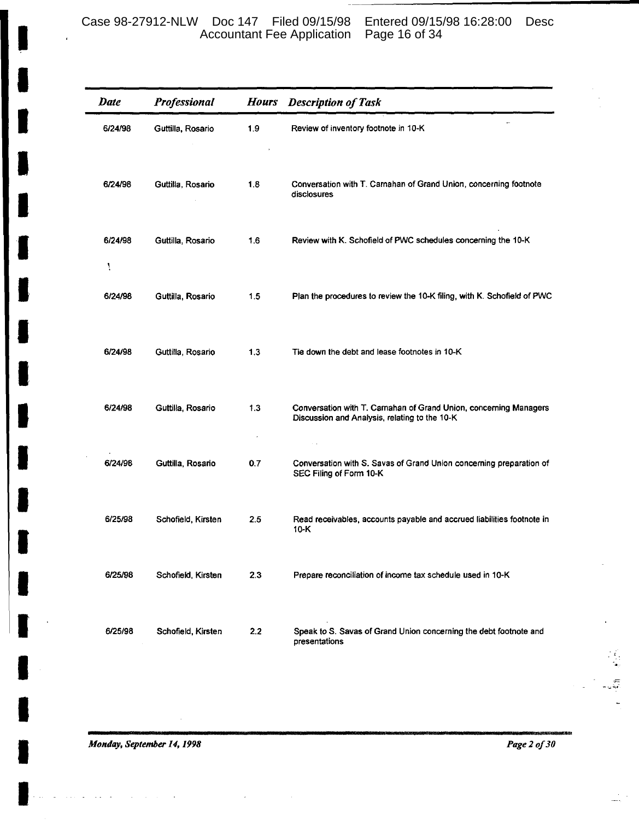## Case 98-27912-NLW Doc 147 Filed 09/15/98 Entered 09/15/98 16:28:00 Desc Accountant Fee Application Page 16 of 34

| <b>Date</b>  | Professional       | <b>Hours</b> | <b>Description of Task</b>                                                                                         |
|--------------|--------------------|--------------|--------------------------------------------------------------------------------------------------------------------|
| 6/24/98      | Guttilla, Rosario  | 1.9          | Review of inventory footnote in 10-K                                                                               |
| 6/24/98      | Guttilla, Rosario  | 1.8          | Conversation with T. Camahan of Grand Union, concerning footnote<br>disclosures                                    |
| 6/24/98<br>١ | Guttilla, Rosario  | 1.6          | Review with K. Schofield of PWC schedules concerning the 10-K                                                      |
| 6/24/98      | Guttilla, Rosario  | 1.5          | Plan the procedures to review the 10-K filing, with K. Schofield of PWC                                            |
| 6/24/98      | Guttilla, Rosario  | 1.3          | Tie down the debt and lease footnotes in 10-K                                                                      |
| 6/24/98      | Guttilla, Rosario  | 1.3          | Conversation with T. Carnahan of Grand Union, concerning Managers<br>Discussion and Analysis, relating to the 10-K |
| 6/24/98      | Guttilla, Rosario  | 0.7          | Conversation with S. Savas of Grand Union concerning preparation of<br>SEC Filing of Form 10-K                     |
| 6/25/98      | Schofield, Kirsten | 2.5          | Read receivables, accounts payable and accrued liabilities footnote in<br>$10-K$                                   |
| 6/25/98      | Schofield, Kirsten | 2.3          | Prepare reconciliation of income tax schedule used in 10-K                                                         |
| 6/25/98      | Schofield, Kirsten | 2.2          | Speak to S. Savas of Grand Union concerning the debt footnote and<br>presentations                                 |

Monday, September 14, 1998

Page 2 of 30

Ŧ,

 $\overline{\phantom{a}}$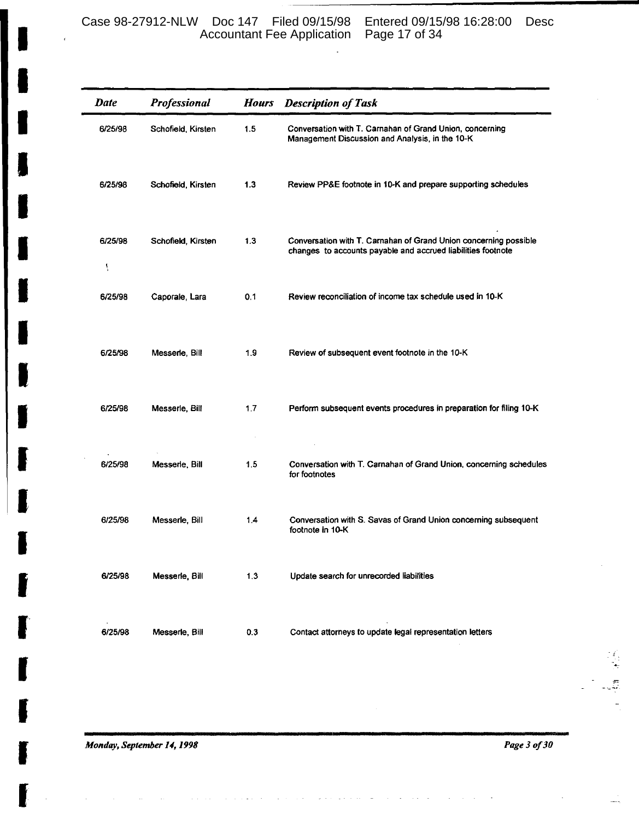Case 98-27912-NLW Doc 147 Filed 09/15/98 Entered 09/15/98 16:28:00 Desc Accountant Fee Application Page 17 of 34

| <b>Date</b>  | Professional       | <b>Hours</b> | <b>Description of Task</b>                                                                                                       |
|--------------|--------------------|--------------|----------------------------------------------------------------------------------------------------------------------------------|
| 6/25/98      | Schofield, Kirsten | 1.5          | Conversation with T. Carnahan of Grand Union, concerning<br>Management Discussion and Analysis, in the 10-K                      |
| 6/25/98      | Schofield, Kirsten | 1.3          | Review PP&E footnote in 10-K and prepare supporting schedules                                                                    |
| 6/25/98<br>A | Schofield, Kirsten | 1.3          | Conversation with T. Carnahan of Grand Union concerning possible<br>changes to accounts payable and accrued liabilities footnote |
| 6/25/98      | Caporale, Lara     | 0.1          | Review reconciliation of income tax schedule used in 10-K                                                                        |
| 6/25/98      | Messerle, Bill     | 1.9          | Review of subsequent event footnote in the 10-K                                                                                  |
| 6/25/98      | Messerle, Bill     | 1.7          | Perform subsequent events procedures in preparation for filing 10-K                                                              |
| 6/25/98      | Messerle, Bill     | 1.5          | Conversation with T. Carnahan of Grand Union, concerning schedules<br>for footnotes                                              |
| 6/25/98      | Messerle, Bill     | 1.4          | Conversation with S. Savas of Grand Union concerning subsequent<br>footnote in 10-K                                              |
| 6/25/98      | Messerie, Bill     | 1.3          | Update search for unrecorded liabilities                                                                                         |
| 6/25/98      | Messerle, Bill     | 0.3          | Contact attorneys to update legal representation letters                                                                         |

and the state

 $\overline{a}$ 

Monday, September 14, 1998

Page 3 of 30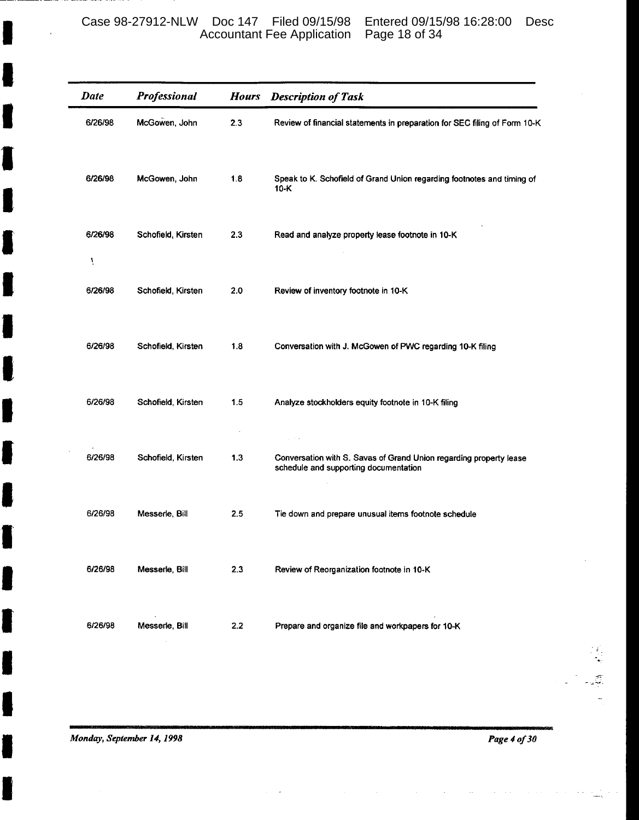Case 98-27912-NLW Doc 147 Filed 09/15/98 Entered 09/15/98 16:28:00 Desc Accountant Fee Application Page 18 of 34

| <b>Date</b>  | Professional       | <b>Hours</b> | <b>Description of Task</b>                                                                                  |
|--------------|--------------------|--------------|-------------------------------------------------------------------------------------------------------------|
| 6/26/98      | McGowen, John      | 2.3          | Review of financial statements in preparation for SEC filing of Form 10-K                                   |
| 6/26/98      | McGowen, John      | 1.8          | Speak to K. Schofield of Grand Union regarding footnotes and timing of<br>$10-K$                            |
| 6/26/98<br>ţ | Schofield, Kirsten | 2.3          | Read and analyze property lease footnote in 10-K                                                            |
| 6/26/98      | Schofield, Kirsten | 2.0          | Review of inventory footnote in 10-K                                                                        |
| 6/26/98      | Schofield, Kirsten | 1.8          | Conversation with J. McGowen of PWC regarding 10-K filing                                                   |
| 6/26/98      | Schofield, Kirsten | 1.5          | Analyze stockholders equity footnote in 10-K filing                                                         |
| 6/26/98      | Schofield, Kirsten | 1.3          | Conversation with S. Savas of Grand Union regarding property lease<br>schedule and supporting documentation |
| 6/26/98      | Messerle, Bill     | 2.5          | Tie down and prepare unusual items footnote schedule                                                        |
| 6/26/98      | Messerle, Bill     | 2.3          | Review of Reorganization footnote in 10-K                                                                   |
| 6/26/98      | Messerle, Bill     | 2.2          | Prepare and organize file and workpapers for 10-K                                                           |
|              |                    |              |                                                                                                             |

Monday, September 14, 1998

t

l

Page 4 of 30

Ç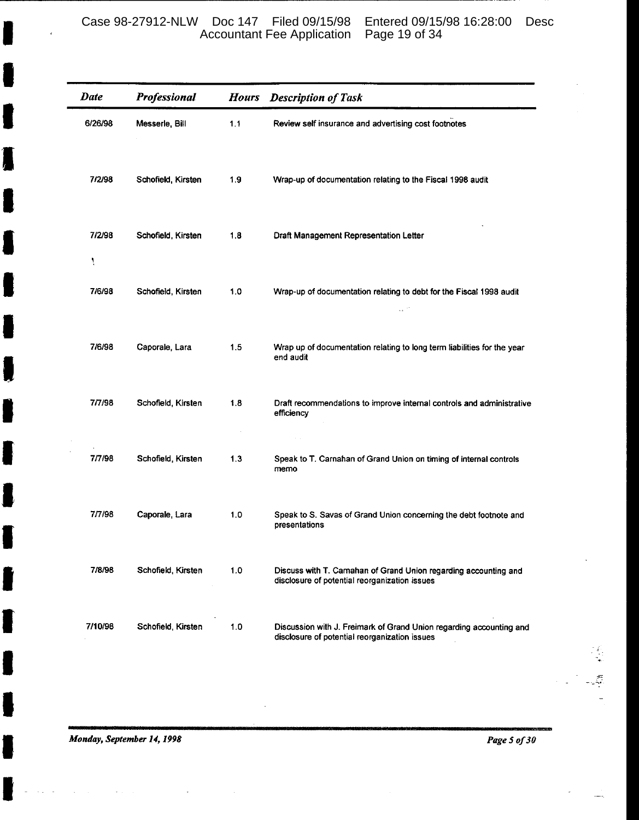## Case 98-27912-NLW Doc 147 Filed 09/15/98 Entered 09/15/98 16:28:00 Desc Accountant Fee Application Page 19 of 34

| <b>Date</b> | Professional       | <b>Hours</b> | <b>Description of Task</b>                                                                                           |
|-------------|--------------------|--------------|----------------------------------------------------------------------------------------------------------------------|
| 6/26/98     | Messerle, Bill     | 1.1          | Review self insurance and advertising cost footnotes                                                                 |
| 7/2/98      | Schofield, Kirsten | 1.9          | Wrap-up of documentation relating to the Fiscal 1998 audit                                                           |
| 7/2/98<br>١ | Schofield, Kirsten | 1.8          | Draft Management Representation Letter                                                                               |
| 7/6/98      | Schofield, Kirsten | 1.0          | Wrap-up of documentation relating to debt for the Fiscal 1998 audit<br>$\sim 10^{-10}$                               |
| 7/6/98      | Caporale, Lara     | 1.5          | Wrap up of documentation relating to long term liabilities for the year<br>end audit                                 |
| 7/7/98      | Schofield, Kirsten | 1.8          | Draft recommendations to improve internal controls and administrative<br>efficiency                                  |
| 7/7/98      | Schofield, Kirsten | 1.3          | Speak to T. Carnahan of Grand Union on timing of internal controls<br>memo                                           |
| 7/7/98      | Caporale, Lara     | 1.0          | Speak to S. Savas of Grand Union concerning the debt footnote and<br>presentations                                   |
| 7/8/98      | Schofield, Kirsten | 1.0          | Discuss with T. Camahan of Grand Union regarding accounting and<br>disclosure of potential reorganization issues     |
| 7/10/98     | Schofield, Kirsten | 1.0          | Discussion with J. Freimark of Grand Union regarding accounting and<br>disclosure of potential reorganization issues |

Monday, September 14, 1998

Page 5 of 30

Ş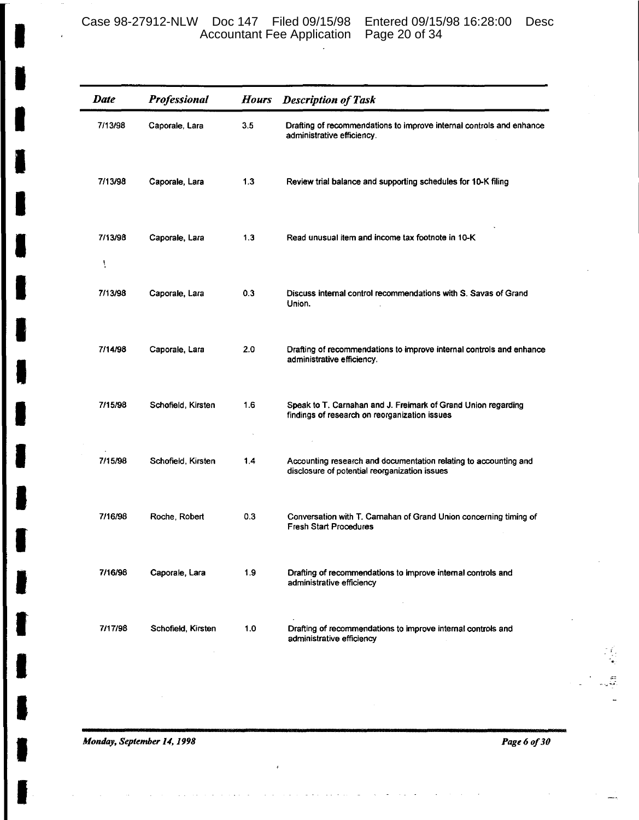| <b>Date</b>  | Professional       | <b>Hours</b> | <b>Description of Task</b>                                                                                        |
|--------------|--------------------|--------------|-------------------------------------------------------------------------------------------------------------------|
| 7/13/98      | Caporale, Lara     | 3.5          | Drafting of recommendations to improve internal controls and enhance<br>administrative efficiency.                |
| 7/13/98      | Caporale, Lara     | 1.3          | Review trial balance and supporting schedules for 10-K filing                                                     |
| 7/13/98<br>ţ | Caporale, Lara     | 1.3          | Read unusual item and income tax footnote in 10-K                                                                 |
| 7/13/98      | Caporale, Lara     | 0.3          | Discuss internal control recommendations with S. Savas of Grand<br>Union.                                         |
| 7/14/98      | Caporale, Lara     | 2.0          | Drafting of recommendations to improve internal controls and enhance<br>administrative efficiency.                |
| 7/15/98      | Schofield, Kirsten | 1.6          | Speak to T. Carnahan and J. Freimark of Grand Union regarding<br>findings of research on reorganization issues    |
| 7/15/98      | Schofield, Kirsten | 1.4          | Accounting research and documentation relating to accounting and<br>disclosure of potential reorganization issues |
| 7/16/98      | Roche, Robert      | 0.3          | Conversation with T. Carnahan of Grand Union concerning timing of<br><b>Fresh Start Procedures</b>                |
| 7/16/98      | Caporale, Lara     | 1.9          | Drafting of recommendations to improve internal controls and<br>administrative efficiency                         |
| 7/17/98      | Schofield, Kirsten | 1.0          | Drafting of recommendations to improve internal controls and<br>administrative efficiency                         |

Monday, September 14, 1998

Page 6 of 30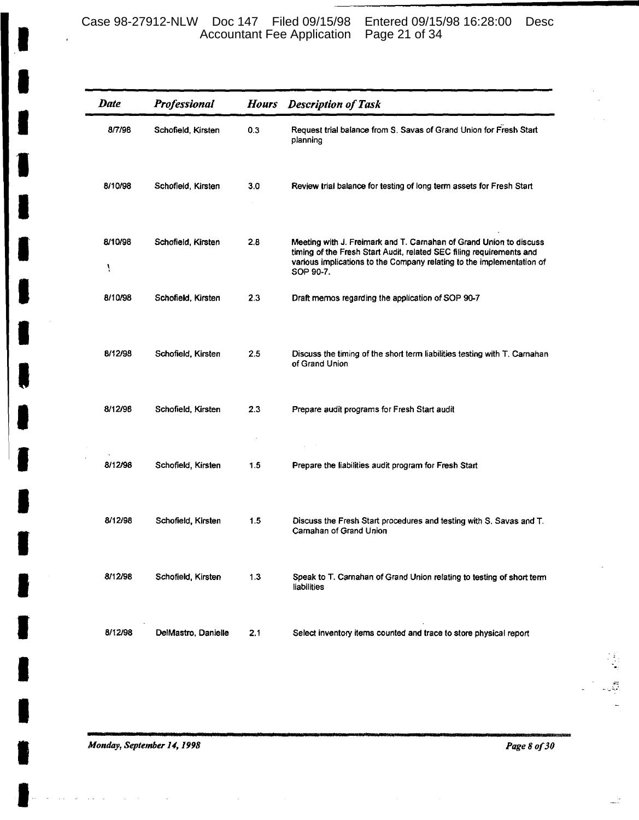## Case 98-27912-NLW Doc 147 Filed 09/15/98 Entered 09/15/98 16:28:00 Desc Accountant Fee Application Page 21 of 34

| Date         | <b>Professional</b> | <b>Hours</b> | <b>Description of Task</b>                                                                                                                                                                                                       |
|--------------|---------------------|--------------|----------------------------------------------------------------------------------------------------------------------------------------------------------------------------------------------------------------------------------|
| 8/7/98       | Schofield, Kirsten  | 0.3          | Request trial balance from S. Savas of Grand Union for Fresh Start<br>planning                                                                                                                                                   |
| 8/10/98      | Schofield, Kirsten  | 3.0          | Review trial balance for testing of long term assets for Fresh Start                                                                                                                                                             |
| 8/10/98<br>١ | Schofield, Kirsten  | 2.8          | Meeting with J. Freimark and T. Carnahan of Grand Union to discuss<br>timing of the Fresh Start Audit, related SEC filing requirements and<br>various implications to the Company relating to the implementation of<br>SOP 90-7. |
| 8/10/98      | Schofield, Kirsten  | 2.3          | Draft memos regarding the application of SOP 90-7                                                                                                                                                                                |
| 8/12/98      | Schofield, Kirsten  | $2.5\,$      | Discuss the timing of the short term liabilities testing with T. Carnahan<br>of Grand Union                                                                                                                                      |
| 8/12/98      | Schofield, Kirsten  | 2.3          | Prepare audit programs for Fresh Start audit                                                                                                                                                                                     |
| 8/12/98      | Schofield, Kirsten  | 1.5          | Prepare the liabilities audit program for Fresh Start                                                                                                                                                                            |
| 8/12/98      | Schofield, Kirsten  | 1.5          | Discuss the Fresh Start procedures and testing with S. Savas and T.<br>Carnahan of Grand Union                                                                                                                                   |
| 8/12/98      | Schofield, Kirsten  | 1.3          | Speak to T. Carnahan of Grand Union relating to testing of short term<br>liabilities                                                                                                                                             |
| 8/12/98      | DelMastro, Danielle | 2.1          | Select inventory items counted and trace to store physical report                                                                                                                                                                |

Monday, September 14, 1998

 $\sim$ 

Page 8 of 30

Ĵ

÷,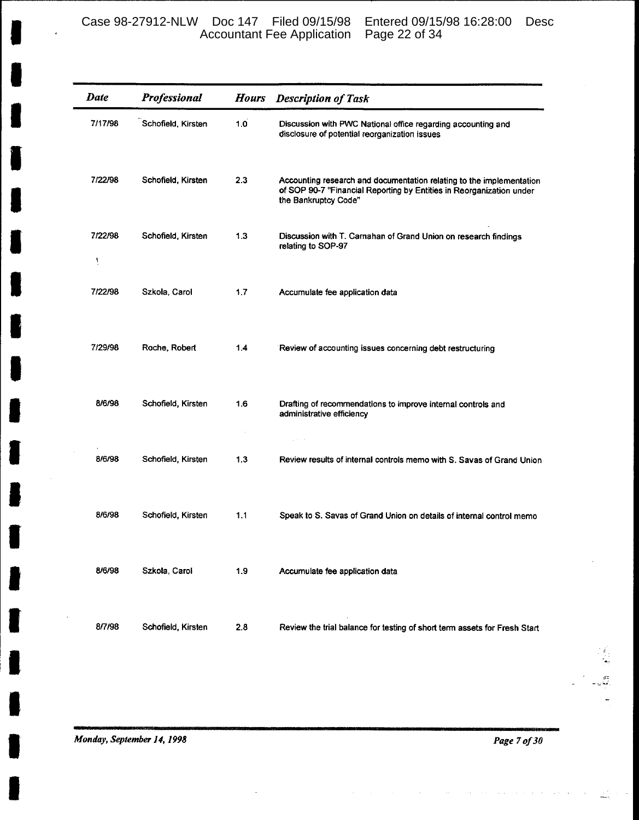Case 98-27912-NLW Doc 147 Filed 09/15/98 Entered 09/15/98 16:28:00 Desc Accountant Fee Application Page 22 of 34

| Date         | Professional       | <b>Hours</b> | <b>Description of Task</b>                                                                                                                                           |
|--------------|--------------------|--------------|----------------------------------------------------------------------------------------------------------------------------------------------------------------------|
| 7/17/98      | Schofield, Kirsten | 1.0          | Discussion with PWC National office regarding accounting and<br>disclosure of potential reorganization issues                                                        |
| 7/22/98      | Schofield, Kirsten | 2.3          | Accounting research and documentation relating to the implementation<br>of SOP 90-7 "Financial Reporting by Entities in Reorganization under<br>the Bankruptcy Code" |
| 7/22/98<br>١ | Schofield, Kirsten | 1.3          | Discussion with T. Carnahan of Grand Union on research findings<br>relating to SOP-97                                                                                |
| 7/22/98      | Szkola, Carol      | 1,7          | Accumulate fee application data                                                                                                                                      |
| 7/29/98      | Roche, Robert      | 1.4          | Review of accounting issues concerning debt restructuring                                                                                                            |
| 8/6/98       | Schofield, Kirsten | 1.6          | Drafting of recommendations to improve internal controls and<br>administrative efficiency                                                                            |
| 8/6/98       | Schofield, Kirsten | 1.3          | Review results of internal controls memo with S. Savas of Grand Union                                                                                                |
| 8/6/98       | Schofield, Kirsten | 1.1          | Speak to S. Savas of Grand Union on details of internal control memo                                                                                                 |
| 8/6/98       | Szkoła, Carol      | 1.9          | Accumulate fee application data                                                                                                                                      |
| 8/7/98       | Schofield, Kirsten | 2.8          | Review the trial balance for testing of short term assets for Fresh Start                                                                                            |

Monday, September 14, 1998

Page 7 of 30

 $\begin{array}{c} \dot{x} \\ \dot{x} \\ \dot{x} \end{array}$ 

 $\ddot{\cdot}$  $\overline{a}$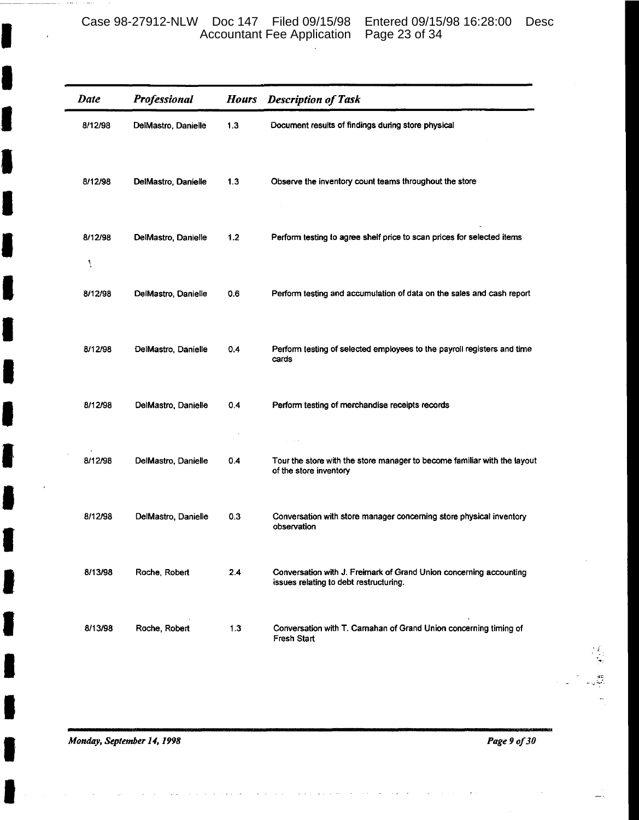Case 98-27912-NLW Doc 147 Filed 09/15/98 Entered 09/15/98 16:28:00 Desc Accountant Fee Application Page 23 of 34

| <b>Date</b>  | <b>Professional</b> | <b>Hours</b> | <b>Description of Task</b>                                                                                   |
|--------------|---------------------|--------------|--------------------------------------------------------------------------------------------------------------|
| 8/12/98      | DelMastro, Danielle | 1.3          | Document results of findings during store physical                                                           |
| 8/12/98      | DelMastro, Danielle | 1.3          | Observe the inventory count teams throughout the store                                                       |
| 8/12/98<br>Ņ | DelMastro, Danielle | 1.2          | Perform testing to agree shelf price to scan prices for selected items                                       |
| 8/12/98      | DelMastro, Danielle | 0.6          | Perform testing and accumulation of data on the sales and cash report                                        |
| 8/12/98      | DelMastro, Danielle | 0.4          | Perform testing of selected employees to the payroll registers and time<br>cards                             |
| 8/12/98      | DelMastro, Danielle | 0.4          | Perform testing of merchandise receipts records                                                              |
| 8/12/98      | DelMastro, Danielle | 0.4          | Tour the store with the store manager to become familiar with the layout<br>of the store inventory           |
| 8/12/98      | DelMastro, Danielle | 0.3          | Conversation with store manager concerning store physical inventory<br>observation                           |
| 8/13/98      | Roche, Robert       | 2.4          | Conversation with J. Freimark of Grand Union concerning accounting<br>issues relating to debt restructuring. |
| 8/13/98      | Roche, Robert       | 1.3          | Conversation with T. Carnahan of Grand Union concerning timing of<br><b>Fresh Start</b>                      |

Monday, September 14, 1998

J

I

Page 9 of 30

er<br>S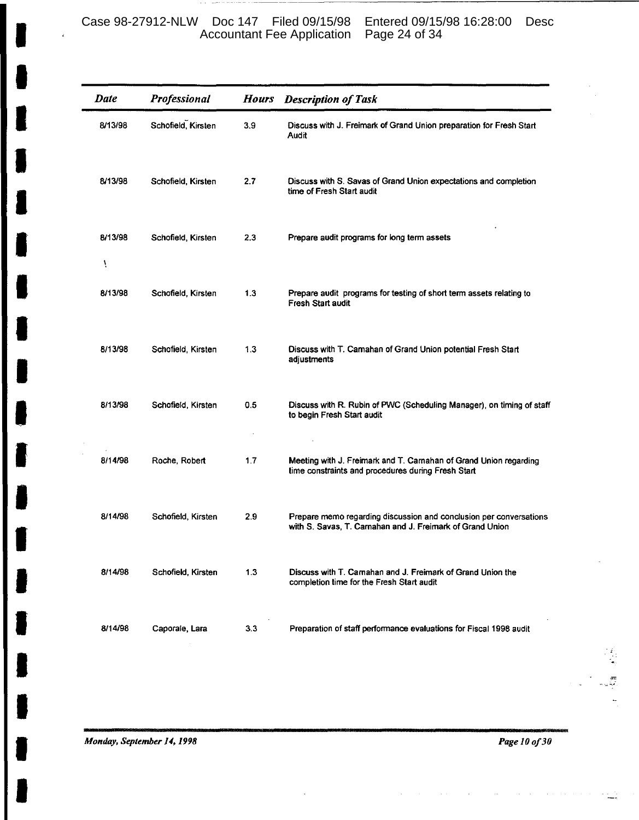Case 98-27912-NLW Doc 147 Filed 09/15/98 Entered 09/15/98 16:28:00 Desc Accountant Fee Application Page 24 of 34

| <b>Date</b>  | Professional       | <b>Hours</b> | <b>Description of Task</b>                                                                                                      |
|--------------|--------------------|--------------|---------------------------------------------------------------------------------------------------------------------------------|
| 8/13/98      | Schofield, Kirsten | 3.9          | Discuss with J. Freimark of Grand Union preparation for Fresh Start<br>Audit                                                    |
| 8/13/98      | Schofield, Kirsten | 2.7          | Discuss with S. Savas of Grand Union expectations and completion<br>time of Fresh Start audit                                   |
| 8/13/98<br>١ | Schofield, Kirsten | 2.3          | Prepare audit programs for long term assets                                                                                     |
| 8/13/98      | Schofield, Kirsten | 1.3          | Prepare audit programs for testing of short term assets relating to<br>Fresh Start audit                                        |
| 8/13/98      | Schofield, Kirsten | 1.3          | Discuss with T. Camahan of Grand Union potential Fresh Start<br>adjustments                                                     |
| 8/13/98      | Schofield, Kirsten | 0.5          | Discuss with R. Rubin of PWC (Scheduling Manager), on timing of staff<br>to begin Fresh Start audit                             |
| 8/14/98      | Roche, Robert      | 1.7          | Meeting with J. Freimark and T. Carnahan of Grand Union regarding<br>time constraints and procedures during Fresh Start         |
| 8/14/98      | Schofield, Kirsten | 2.9          | Prepare memo regarding discussion and conclusion per conversations<br>with S. Savas, T. Carnahan and J. Freimark of Grand Union |
| 8/14/98      | Schofield, Kirsten | 1.3          | Discuss with T. Carnahan and J. Freimark of Grand Union the<br>completion time for the Fresh Start audit                        |
| 8/14/98      | Caporale, Lara     | 3.3          | Preparation of staff performance evaluations for Fiscal 1998 audit                                                              |

Monday, September 14, 1998

Page 10 of 30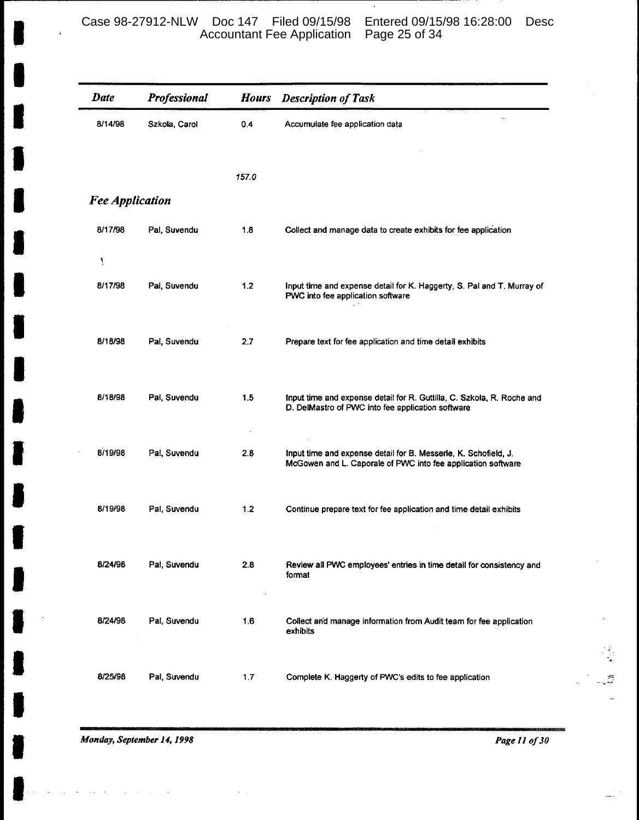| <b>Date</b>            | Professional  | <b>Hours</b> | <b>Description of Task</b>                                                                                                      |
|------------------------|---------------|--------------|---------------------------------------------------------------------------------------------------------------------------------|
| 8/14/98                | Szkola, Carol | 0.4          | Accumulate fee application data                                                                                                 |
|                        |               |              |                                                                                                                                 |
|                        |               | 157.0        |                                                                                                                                 |
| <b>Fee Application</b> |               |              |                                                                                                                                 |
| 8/17/98                | Pal, Suvendu  | 1.8          | Collect and manage data to create exhibits for fee application                                                                  |
| Ņ                      |               |              |                                                                                                                                 |
| 8/17/98                | Pal, Suvendu  | 1.2          | Input time and expense detail for K. Haggerty, S. Pal and T. Murray of<br>PWC into fee application software                     |
| 8/18/98                | Pal, Suvendu  | 2.7          | Prepare text for fee application and time detail exhibits                                                                       |
| 8/18/98                | Pal, Suvendu  | 1.5          | Input time and expense detail for R. Guttilla, C. Szkola, R. Roche and<br>D. DelMastro of PWC into fee application software     |
| 8/19/98                | Pal, Suvendu  | 2.8          | Input time and expense detail for B. Messerle, K. Schofield, J.<br>McGowen and L. Caporale of PWC into fee application software |
| 8/19/98                | Pal, Suvendu  | 1.2          | Continue prepare text for fee application and time detail exhibits                                                              |
| 8/24/98                | Pal, Suvendu  | 2.8          | Review all PWC employees' entries in time detail for consistency and<br>format                                                  |
| 8/24/98<br>$\sim$      | Pal, Suvendu  | 1.6          | Collect and manage information from Audit team for fee application<br>exhibits                                                  |
| 8/25/98                | Pal. Suvendu  | 1.7          | Complete K. Haggerty of PWC's edits to fee application                                                                          |

Monday, September 14, 1998

 $\epsilon$ 

Page 11 of 30

 $\frac{1}{2}$  $\omega$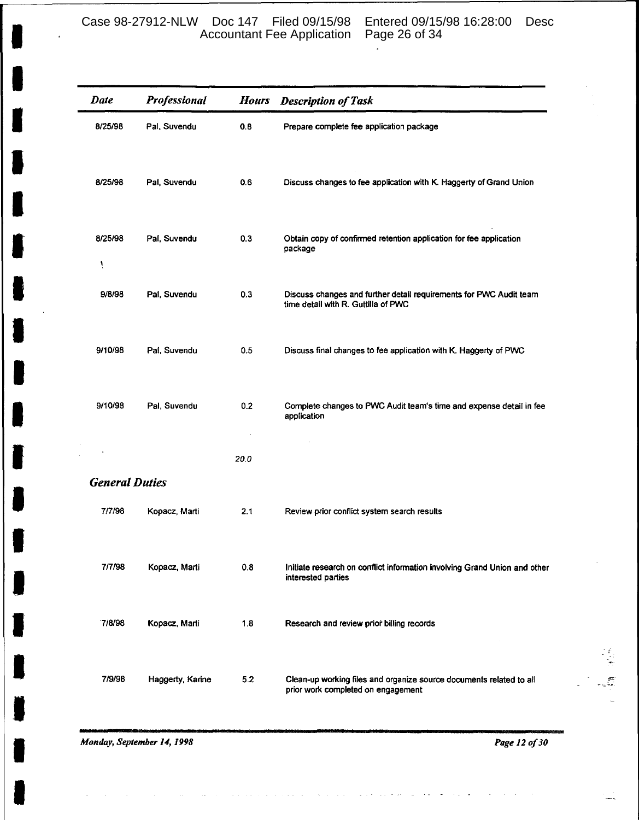## Case 98-27912-NLW Doc 147 Filed 09/15/98 Entered 09/15/98 16:28:00 Desc Accountant Fee Application Page 26 of 34

l.

| <b>Date</b>           | Professional     | <b>Hours</b> | <b>Description of Task</b>                                                                                |
|-----------------------|------------------|--------------|-----------------------------------------------------------------------------------------------------------|
| 8/25/98               | Pal, Suvendu     | 0.8          | Prepare complete fee application package                                                                  |
| 8/25/98               | Pal, Suvendu     | 06           | Discuss changes to fee application with K. Haggerty of Grand Union                                        |
| 8/25/98<br>Ţ          | Pal, Suvendu     | 0.3          | Obtain copy of confirmed retention application for fee application<br>package                             |
| 9/8/98                | Pal. Suvendu     | 0.3          | Discuss changes and further detail requirements for PWC Audit team<br>time detail with R. Guttilla of PWC |
| 9/10/98               | Pal, Suvendu     | 0.5          | Discuss final changes to fee application with K. Haggerty of PWC                                          |
| 9/10/98               | Pal, Suvendu     | 0.2          | Complete changes to PWC Audit team's time and expense detail in fee<br>application                        |
|                       |                  | 20.0         |                                                                                                           |
| <b>General Duties</b> |                  |              |                                                                                                           |
| 7/7/98                | Kopacz, Marti    | 2.1          | Review prior conflict system search results                                                               |
| 7/7/98                | Kopacz, Marti    | 0.8          | Initiate research on conflict information involving Grand Union and other<br>interested parties           |
| 7/8/98                | Kopacz, Marti    | 1.8          | Research and review prior billing records                                                                 |
| 7/9/98                | Haggerty, Karine | 5.2          | Clean-up working files and organize source documents related to all<br>prior work completed on engagement |

Monday, September 14, 1998

Page 12 of 30

一、名、字形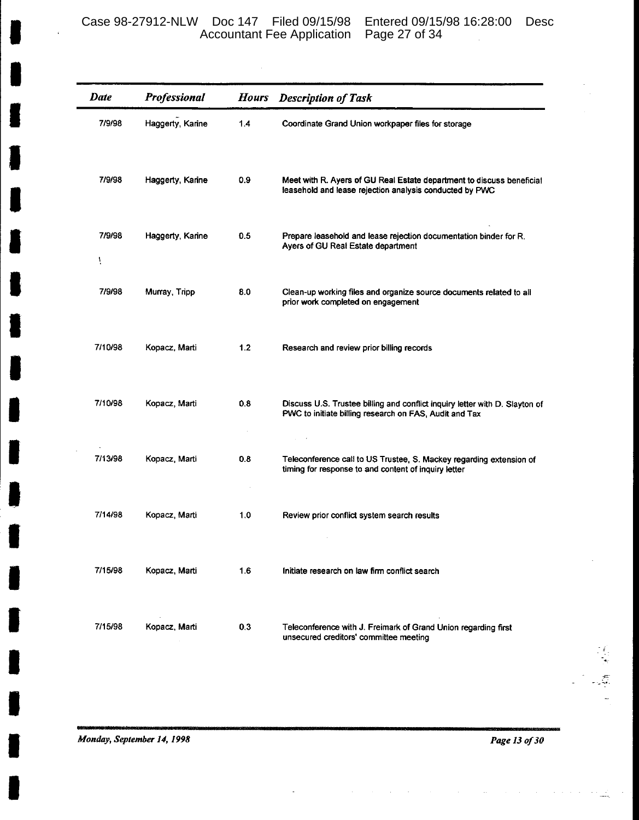J.

| Date        | Professional     | <b>Hours</b> | <b>Description of Task</b>                                                                                                            |
|-------------|------------------|--------------|---------------------------------------------------------------------------------------------------------------------------------------|
| 7/9/98      | Haggerty, Karine | 1.4          | Coordinate Grand Union workpaper files for storage                                                                                    |
| 7/9/98      | Haggerty, Karine | 0.9          | Meet with R. Ayers of GU Real Estate department to discuss beneficial<br>leasehold and lease rejection analysis conducted by PWC      |
| 7/9/98<br>Ą | Haggerty, Karine | 0.5          | Prepare leasehold and lease rejection documentation binder for R.<br>Ayers of GU Real Estate department                               |
| 7/9/98      | Murray, Tripp    | 8.0          | Clean-up working files and organize source documents related to all<br>prior work completed on engagement                             |
| 7/10/98     | Kopacz, Marti    | 1.2          | Research and review prior billing records                                                                                             |
| 7/10/98     | Kopacz, Marti    | 0.8          | Discuss U.S. Trustee billing and conflict inquiry letter with D. Slayton of<br>PWC to initiate billing research on FAS, Audit and Tax |
| 7/13/98     | Kopacz, Marti    | 0.8          | Teleconference call to US Trustee, S. Mackey regarding extension of<br>timing for response to and content of inquiry letter           |
| 7/14/98     | Kopacz, Marti    | 1.0          | Review prior conflict system search results                                                                                           |
| 7/15/98     | Kopacz, Marti    | 1.6          | Initiate research on law firm conflict search                                                                                         |
| 7/15/98     | Kopacz, Marti    | 0.3          | Teleconference with J. Freimark of Grand Union regarding first<br>unsecured creditors' committee meeting                              |

Monday, September 14, 1998

Page 13 of 30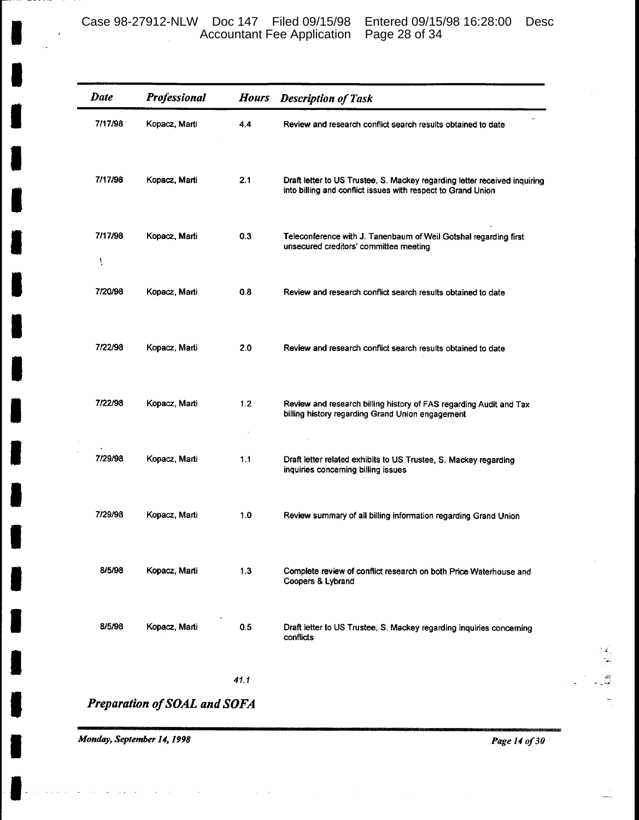| Date         | Professional                 | <b>Hours</b> | <b>Description of Task</b>                                                                                                                |
|--------------|------------------------------|--------------|-------------------------------------------------------------------------------------------------------------------------------------------|
| 7/17/98      | Kopacz, Marti                | 4.4          | Review and research conflict search results obtained to date                                                                              |
| 7/17/98      | Kopacz, Marti                | 2.1          | Draft letter to US Trustee, S. Mackey regarding letter received inquiring<br>into billing and conflict issues with respect to Grand Union |
| 7/17/98<br>ţ | Kopacz, Marti                | 0.3          | Teleconference with J. Tanenbaum of Weil Gotshal regarding first<br>unsecured creditors' committee meeting                                |
| 7/20/98      | Kopacz, Marti                | 0.8          | Review and research conflict search results obtained to date                                                                              |
| 7/22/98      | Kopacz, Marti                | 2.0          | Review and research conflict search results obtained to date                                                                              |
| 7/22/98      | Kopacz, Marti                | 1.2          | Review and research billing history of FAS regarding Audit and Tax<br>billing history regarding Grand Union engagement                    |
| 7/29/98      | Kopacz, Marti                | 1.1          | Draft letter related exhibits to US Trustee, S. Mackey regarding<br>inquiries concerning billing issues                                   |
| 7/29/98      | Kopacz, Marti                | 1.0          | Review summary of all billing information regarding Grand Union                                                                           |
| 8/5/98       | Kopacz, Marti                | 1.3          | Complete review of conflict research on both Price Waterhouse and<br>Coopers & Lybrand                                                    |
| 8/5/98       | Kopacz, Marti                | 0.5          | Draft letter to US Trustee, S. Mackey regarding inquiries concerning<br>conflicts                                                         |
|              |                              | 41.1         |                                                                                                                                           |
|              | Preparation of SOAL and SOFA |              |                                                                                                                                           |

Monday, September 14, 1998

Page 14 of 30

 $\frac{1}{2}$  $\omega$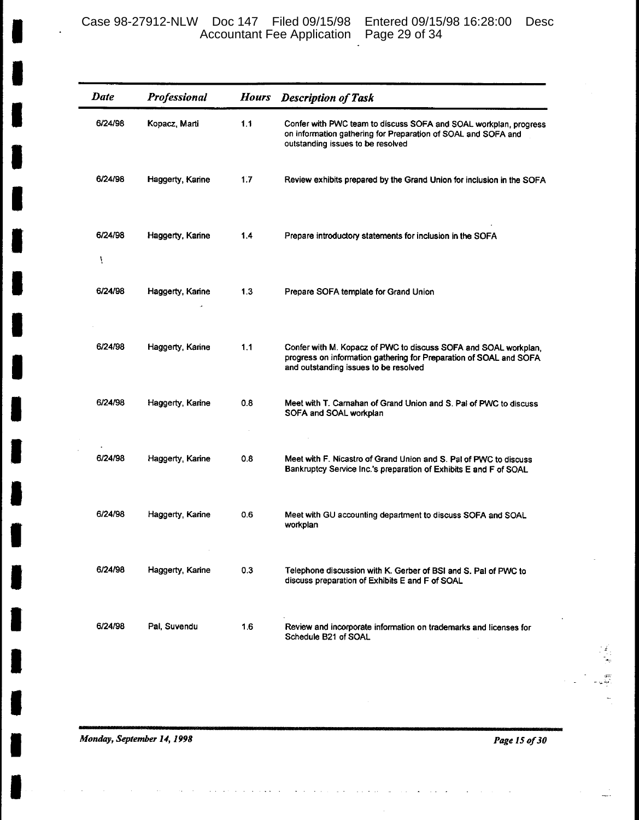| Date         | Professional     | <b>Hours</b> | <b>Description of Task</b>                                                                                                                                                     |
|--------------|------------------|--------------|--------------------------------------------------------------------------------------------------------------------------------------------------------------------------------|
| 6/24/98      | Kopacz, Marti    | 1.1          | Confer with PWC team to discuss SOFA and SOAL workplan, progress<br>on information gathering for Preparation of SOAL and SOFA and<br>outstanding issues to be resolved         |
| 6/24/98      | Haggerty, Karine | 1.7          | Review exhibits prepared by the Grand Union for inclusion in the SOFA                                                                                                          |
| 6/24/98<br>i | Haggerty, Karine | 1.4          | Prepare introductory statements for inclusion in the SOFA                                                                                                                      |
| 6/24/98      | Haggerty, Karine | 1.3          | Prepare SOFA template for Grand Union                                                                                                                                          |
| 6/24/98      | Haggerty, Karine | 1.1          | Confer with M. Kopacz of PWC to discuss SOFA and SOAL workplan,<br>progress on information gathering for Preparation of SOAL and SOFA<br>and outstanding issues to be resolved |
| 6/24/98      | Haggerty, Karine | 0.8          | Meet with T. Carnahan of Grand Union and S. Pal of PWC to discuss<br>SOFA and SOAL workplan                                                                                    |
| 6/24/98      | Haggerty, Karine | 0.8          | Meet with F. Nicastro of Grand Union and S. Pal of PWC to discuss<br>Bankruptcy Service Inc.'s preparation of Exhibits E and F of SOAL                                         |
| 6/24/98      | Haggerty, Karine | 0.6          | Meet with GU accounting department to discuss SOFA and SOAL<br>workplan                                                                                                        |
| 6/24/98      | Haggerty, Karine | 0.3          | Telephone discussion with K. Gerber of BSI and S. Pal of PWC to<br>discuss preparation of Exhibits E and F of SOAL                                                             |
| 6/24/98      | Pal, Suvendu     | 1.6          | Review and incorporate information on trademarks and licenses for<br>Schedule B21 of SOAL                                                                                      |

Monday, September 14, 1998

Page 15 of 30

化丙二烯 医心理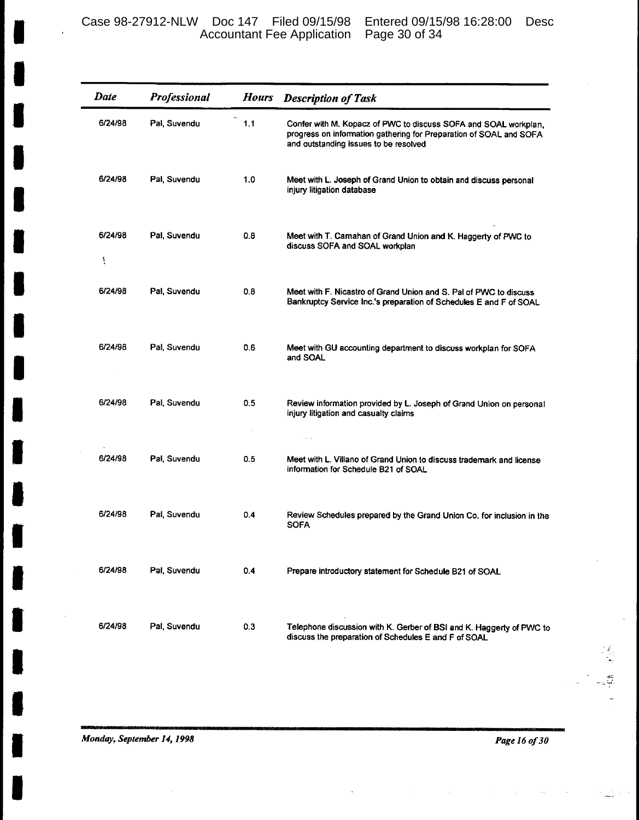Case 98-27912-NLW Doc 147 Filed 09/15/98 Entered 09/15/98 16:28:00 Desc Accountant Fee Application Page 30 of 34

| <b>Date</b>  | Professional | <b>Hours</b> | <b>Description of Task</b>                                                                                                                                                     |
|--------------|--------------|--------------|--------------------------------------------------------------------------------------------------------------------------------------------------------------------------------|
| 6/24/98      | Pal, Suvendu | 1.1          | Confer with M. Kopacz of PWC to discuss SOFA and SOAL workplan,<br>progress on information gathering for Preparation of SOAL and SOFA<br>and outstanding issues to be resolved |
| 6/24/98      | Pal, Suvendu | 1.0          | Meet with L. Joseph of Grand Union to obtain and discuss personal<br>injury litigation database                                                                                |
| 6/24/98<br>ï | Pal, Suvendu | 0.8          | Meet with T. Camahan of Grand Union and K. Haggerty of PWC to<br>discuss SOFA and SOAL workplan                                                                                |
| 6/24/98      | Pal, Suvendu | 0.8          | Meet with F. Nicastro of Grand Union and S. Pal of PWC to discuss<br>Bankruptcy Service Inc.'s preparation of Schedules E and F of SOAL                                        |
| 6/24/98      | Pal, Suvendu | 0.6          | Meet with GU accounting department to discuss workplan for SOFA<br>and SOAL                                                                                                    |
| 6/24/98      | Pal, Suvendu | 0.5          | Review information provided by L. Joseph of Grand Union on personal<br>injury litigation and casualty claims<br>والمعاد                                                        |
| 6/24/98      | Pal, Suvendu | 0.5          | Meet with L. Villano of Grand Union to discuss trademark and license<br>information for Schedule B21 of SOAL                                                                   |
| 6/24/98      | Pal, Suvendu | 0.4          | Review Schedules prepared by the Grand Union Co. for inclusion in the<br><b>SOFA</b>                                                                                           |
| 6/24/98      | Pal, Suvendu | 0.4          | Prepare introductory statement for Schedule B21 of SOAL                                                                                                                        |
| 6/24/98      | Pal, Suvendu | 0.3          | Telephone discussion with K. Gerber of BSI and K. Haggerty of PWC to<br>discuss the preparation of Schedules E and F of SOAL                                                   |

Page 16 of 30

 $\mathbb{L}$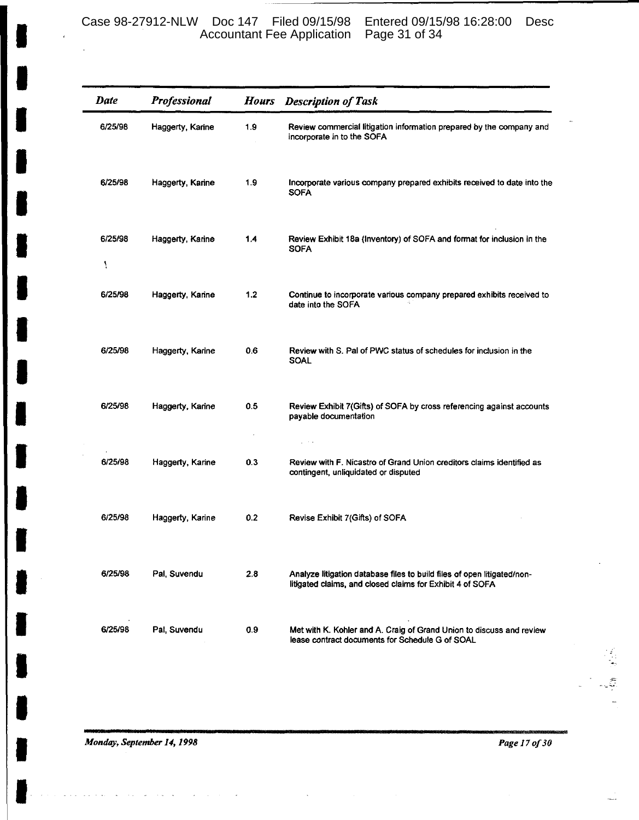Case 98-27912-NLW Doc 147 Filed 09/15/98 Entered 09/15/98 16:28:00 Desc Accountant Fee Application Page 31 of 34

| <b>Date</b>  | Professional     | <b>Hours</b> | <b>Description of Task</b>                                                                                                           |
|--------------|------------------|--------------|--------------------------------------------------------------------------------------------------------------------------------------|
| 6/25/98      | Haggerty, Karine | 1.9          | Review commercial litigation information prepared by the company and<br>incorporate in to the SOFA                                   |
| 6/25/98      | Haggerty, Karine | 1.9          | Incorporate various company prepared exhibits received to date into the<br><b>SOFA</b>                                               |
| 6/25/98<br>ţ | Haggerty, Karine | 14           | Review Exhibit 18a (Inventory) of SOFA and format for inclusion in the<br><b>SOFA</b>                                                |
| 6/25/98      | Haggerty, Karine | 1.2          | Continue to incorporate various company prepared exhibits received to<br>date into the SOFA                                          |
| 6/25/98      | Haggerty, Karine | 0.6          | Review with S. Pal of PWC status of schedules for inclusion in the<br>SOAL                                                           |
| 6/25/98      | Haggerty, Karine | 0.5          | Review Exhibit 7(Gifts) of SOFA by cross referencing against accounts<br>payable documentation                                       |
| 6/25/98      | Haggerty, Karine | 0.3          | $\sim$ $\sim$<br>Review with F. Nicastro of Grand Union creditors claims identified as<br>contingent, unliquidated or disputed       |
| 6/25/98      | Haggerty, Karine | 0.2          | Revise Exhibit 7(Gifts) of SOFA                                                                                                      |
| 6/25/98      | Pal, Suvendu     | 2.8          | Analyze litigation database files to build files of open litigated/non-<br>litigated claims, and closed claims for Exhibit 4 of SOFA |
| 6/25/98      | Pal, Suvendu     | 0.9          | Met with K. Kohler and A. Craig of Grand Union to discuss and review<br>lease contract documents for Schedule G of SOAL              |

Monday, September 14, 1998

Page 17 of 30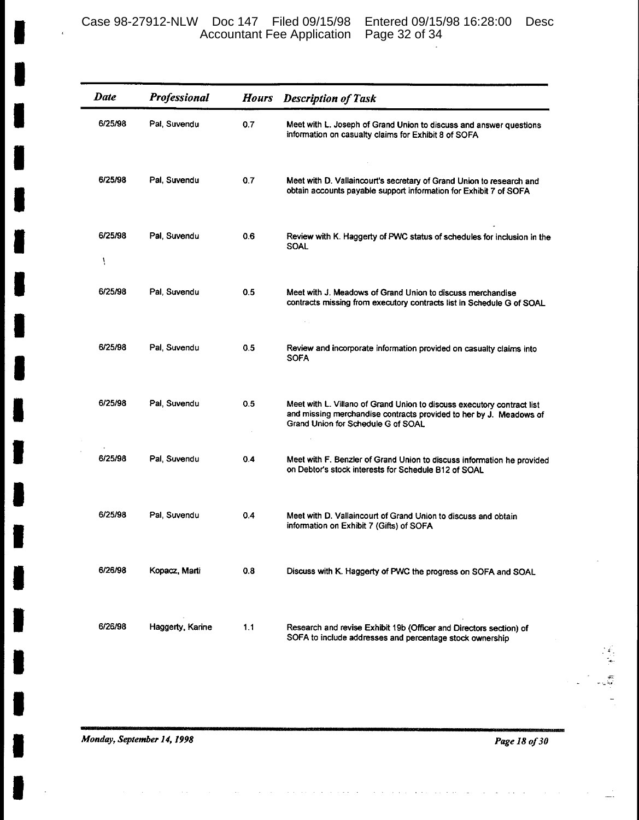Case 98-27912-NLW Doc 147 Filed 09/15/98 Entered 09/15/98 16:28:00 Desc Accountant Fee Application Page 32 of 34

| <b>Date</b>  | Professional     | <b>Hours</b> | <b>Description of Task</b>                                                                                                                                                         |
|--------------|------------------|--------------|------------------------------------------------------------------------------------------------------------------------------------------------------------------------------------|
| 6/25/98      | Pal, Suvendu     | 0.7          | Meet with L. Joseph of Grand Union to discuss and answer questions<br>information on casualty claims for Exhibit 8 of SOFA                                                         |
| 6/25/98      | Pal, Suvendu     | 0.7          | Meet with D. Vallaincourt's secretary of Grand Union to research and<br>obtain accounts payable support information for Exhibit 7 of SOFA                                          |
| 6/25/98<br>ì | Pal, Suvendu     | 0.6          | Review with K. Haggerty of PWC status of schedules for inclusion in the<br><b>SOAL</b>                                                                                             |
| 6/25/98      | Pal. Suvendu     | 0.5          | Meet with J. Meadows of Grand Union to discuss merchandise<br>contracts missing from executory contracts list in Schedule G of SOAL                                                |
| 6/25/98      | Pal, Suvendu     | 0.5          | Review and incorporate information provided on casualty claims into<br><b>SOFA</b>                                                                                                 |
| 6/25/98      | Pal, Suvendu     | 0.5          | Meet with L. Villano of Grand Union to discuss executory contract list<br>and missing merchandise contracts provided to her by J. Meadows of<br>Grand Union for Schedule G of SOAL |
| 6/25/98      | Pal, Suvendu     | 0.4          | Meet with F. Benzler of Grand Union to discuss information he provided<br>on Debtor's stock interests for Schedule B12 of SOAL                                                     |
| 6/25/98      | Pal, Suvendu     | 0.4          | Meet with D. Vallaincourt of Grand Union to discuss and obtain<br>information on Exhibit 7 (Gifts) of SOFA                                                                         |
| 6/26/98      | Kopacz, Marti    | 0.8          | Discuss with K. Haggerty of PWC the progress on SOFA and SOAL                                                                                                                      |
| 6/26/98      | Haggerty, Karine | 1.1          | Research and revise Exhibit 19b (Officer and Directors section) of<br>SOFA to include addresses and percentage stock ownership                                                     |

Monday, September 14, 1998

 $\overline{6}$ 

Page 18 of 30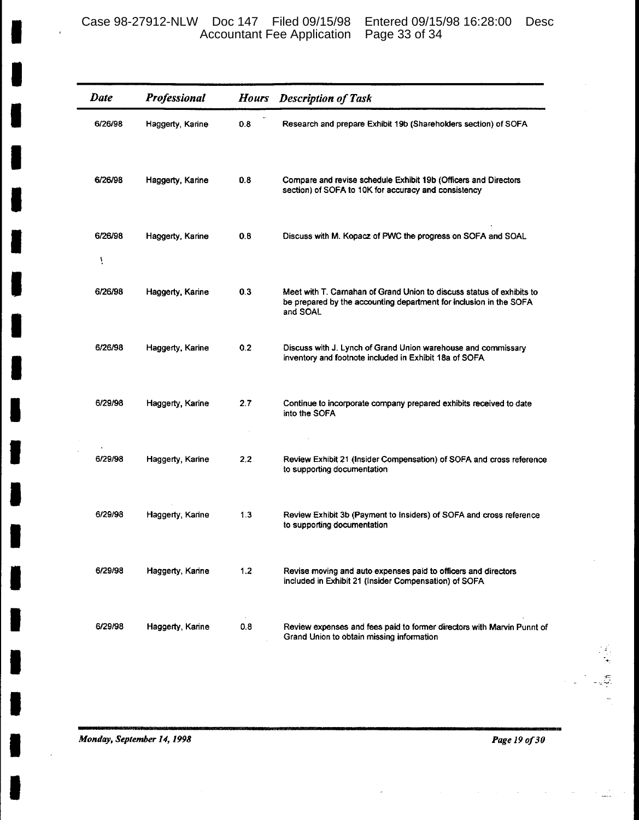| <b>Date</b>  | Professional     | <b>Hours</b> | <b>Description of Task</b>                                                                                                                              |
|--------------|------------------|--------------|---------------------------------------------------------------------------------------------------------------------------------------------------------|
| 6/26/98      | Haggerty, Karine | 0.8          | Research and prepare Exhibit 19b (Shareholders section) of SOFA                                                                                         |
| 6/26/98      | Haggerty, Karine | 0.8          | Compare and revise schedule Exhibit 19b (Officers and Directors<br>section) of SOFA to 10K for accuracy and consistency                                 |
| 6/26/98<br>Ť | Haggerty, Karine | 0.8          | Discuss with M. Kopacz of PWC the progress on SOFA and SOAL                                                                                             |
| 6/26/98      | Haggerty, Karine | 0.3          | Meet with T. Carnahan of Grand Union to discuss status of exhibits to<br>be prepared by the accounting department for inclusion in the SOFA<br>and SOAL |
| 6/26/98      | Haggerty, Karine | 0.2          | Discuss with J. Lynch of Grand Union warehouse and commissary<br>inventory and footnote included in Exhibit 18a of SOFA                                 |
| 6/29/98      | Haggerty, Karine | 2.7          | Continue to incorporate company prepared exhibits received to date<br>into the SOFA                                                                     |
| 6/29/98      | Haggerty, Karine | 2.2          | Review Exhibit 21 (Insider Compensation) of SOFA and cross reference<br>to supporting documentation                                                     |
| 6/29/98      | Haggerty, Karine | 1.3          | Review Exhibit 3b (Payment to Insiders) of SOFA and cross reference<br>to supporting documentation                                                      |
| 6/29/98      | Haggerty, Karine | 1.2          | Revise moving and auto expenses paid to officers and directors<br>included in Exhibit 21 (Insider Compensation) of SOFA                                 |
| 6/29/98      | Haggerty, Karine | 0.8          | Review expenses and fees paid to former directors with Marvin Punnt of<br>Grand Union to obtain missing information                                     |

Monday, September 14, 1998

Page 19 of 30

 $\overline{\mathfrak{P}}$  $\overline{\phantom{a}}$